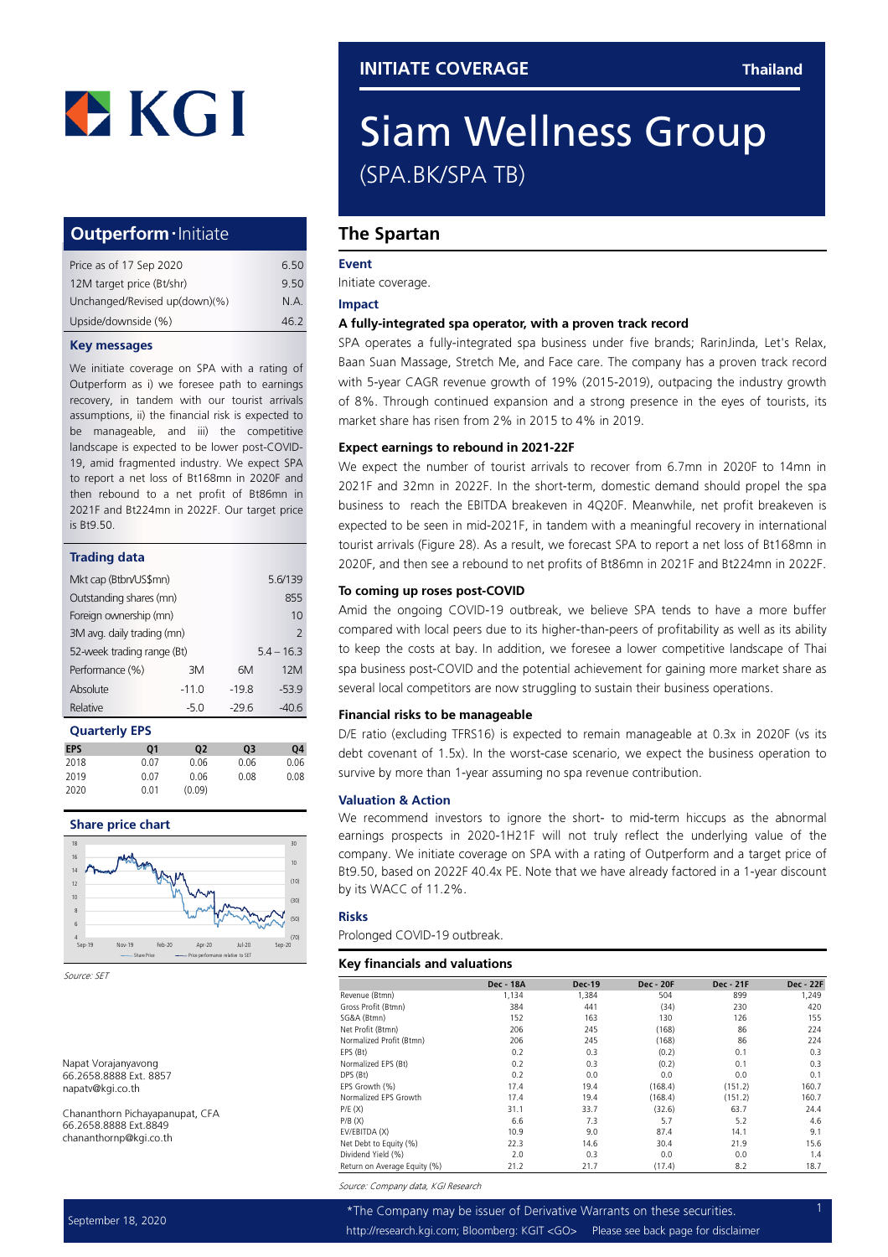## Outperform · Initiate

| Price as of 17 Sep 2020       | 6.50 |
|-------------------------------|------|
| 12M target price (Bt/shr)     | 9.50 |
| Unchanged/Revised up(down)(%) | N.A. |
| Upside/downside (%)           | 46.2 |

#### Key messages

We initiate coverage on SPA with a rating of Outperform as i) we foresee path to earnings recovery, in tandem with our tourist arrivals assumptions, ii) the financial risk is expected to be manageable, and iii) the competitive landscape is expected to be lower post-COVID-19, amid fragmented industry. We expect SPA to report a net loss of Bt168mn in 2020F and then rebound to a net profit of Bt86mn in 2021F and Bt224mn in 2022F. Our target price is Bt9.50.

| <b>Trading data</b>        |         |               |         |
|----------------------------|---------|---------------|---------|
| Mkt cap (Btbn/US\$mn)      |         |               | 5.6/139 |
| Outstanding shares (mn)    |         |               | 855     |
| Foreign ownership (mn)     |         | 10            |         |
| 3M avg. daily trading (mn) |         | $\mathcal{P}$ |         |
| 52-week trading range (Bt) |         | $54 - 163$    |         |
| Performance (%)            | ЗM      | 6M            | 12M     |
| Absolute                   | $-11.0$ | $-19.8$       | $-53.9$ |
| Relative                   | $-5.0$  | -296          | -40.6   |

| <b>Quarterly EPS</b> |  |
|----------------------|--|
| FDC                  |  |

| 01   | 02     | 03   | 04   |
|------|--------|------|------|
| 0.07 | 0.06   | 0.06 | 0.06 |
| 0.07 | 0.06   | 0.08 | 0.08 |
| 0.01 | (0.09) |      |      |
|      |        |      |      |





Source: SET

Napat Vorajanyavong 66.2658.8888 Ext. 8857 napatv@kgi.co.th

Chananthorn Pichayapanupat, CFA 66.2658.8888 Ext.8849 chananthornp@kgi.co.th

## Siam Wellness Group (SPA.BK/SPA TB)

## The Spartan

#### Event

Initiate coverage.

#### Impact

#### A fully-integrated spa operator, with a proven track record

SPA operates a fully-integrated spa business under five brands; RarinJinda, Let's Relax, Baan Suan Massage, Stretch Me, and Face care. The company has a proven track record with 5-year CAGR revenue growth of 19% (2015-2019), outpacing the industry growth of 8%. Through continued expansion and a strong presence in the eyes of tourists, its market share has risen from 2% in 2015 to 4% in 2019.

#### Expect earnings to rebound in 2021-22F

We expect the number of tourist arrivals to recover from 6.7mn in 2020F to 14mn in 2021F and 32mn in 2022F. In the short-term, domestic demand should propel the spa business to reach the EBITDA breakeven in 4Q20F. Meanwhile, net profit breakeven is expected to be seen in mid-2021F, in tandem with a meaningful recovery in international tourist arrivals (Figure 28). As a result, we forecast SPA to report a net loss of Bt168mn in 2020F, and then see a rebound to net profits of Bt86mn in 2021F and Bt224mn in 2022F.

#### To coming up roses post-COVID

Amid the ongoing COVID-19 outbreak, we believe SPA tends to have a more buffer compared with local peers due to its higher-than-peers of profitability as well as its ability to keep the costs at bay. In addition, we foresee a lower competitive landscape of Thai spa business post-COVID and the potential achievement for gaining more market share as several local competitors are now struggling to sustain their business operations.

#### Financial risks to be manageable

D/E ratio (excluding TFRS16) is expected to remain manageable at 0.3x in 2020F (vs its debt covenant of 1.5x). In the worst-case scenario, we expect the business operation to survive by more than 1-year assuming no spa revenue contribution.

#### Valuation & Action

We recommend investors to ignore the short- to mid-term hiccups as the abnormal earnings prospects in 2020-1H21F will not truly reflect the underlying value of the company. We initiate coverage on SPA with a rating of Outperform and a target price of Bt9.50, based on 2022F 40.4x PE. Note that we have already factored in a 1-year discount by its WACC of 11.2%.

#### Risks

Prolonged COVID-19 outbreak.

#### Key financials and valuations

|                              | <b>Dec - 18A</b> | <b>Dec-19</b> | <b>Dec - 20F</b> | <b>Dec - 21F</b> | <b>Dec - 22F</b> |
|------------------------------|------------------|---------------|------------------|------------------|------------------|
| Revenue (Btmn)               | 1,134            | 1,384         | 504              | 899              | 1,249            |
| Gross Profit (Btmn)          | 384              | 441           | (34)             | 230              | 420              |
| SG&A (Btmn)                  | 152              | 163           | 130              | 126              | 155              |
| Net Profit (Btmn)            | 206              | 245           | (168)            | 86               | 224              |
| Normalized Profit (Btmn)     | 206              | 245           | (168)            | 86               | 224              |
| EPS (Bt)                     | 0.2              | 0.3           | (0.2)            | 0.1              | 0.3              |
| Normalized EPS (Bt)          | 0.2              | 0.3           | (0.2)            | 0.1              | 0.3              |
| DPS (Bt)                     | 0.2              | 0.0           | 0.0              | 0.0              | 0.1              |
| EPS Growth (%)               | 17.4             | 19.4          | (168.4)          | (151.2)          | 160.7            |
| Normalized EPS Growth        | 17.4             | 19.4          | (168.4)          | (151.2)          | 160.7            |
| P/E(X)                       | 31.1             | 33.7          | (32.6)           | 63.7             | 24.4             |
| P/B(X)                       | 6.6              | 7.3           | 5.7              | 5.2              | 4.6              |
| EV/EBITDA (X)                | 10.9             | 9.0           | 87.4             | 14.1             | 9.1              |
| Net Debt to Equity (%)       | 22.3             | 14.6          | 30.4             | 21.9             | 15.6             |
| Dividend Yield (%)           | 2.0              | 0.3           | 0.0              | 0.0              | 1.4              |
| Return on Average Equity (%) | 21.2             | 21.7          | (17.4)           | 8.2              | 18.7             |

Source: Company data, KGI Research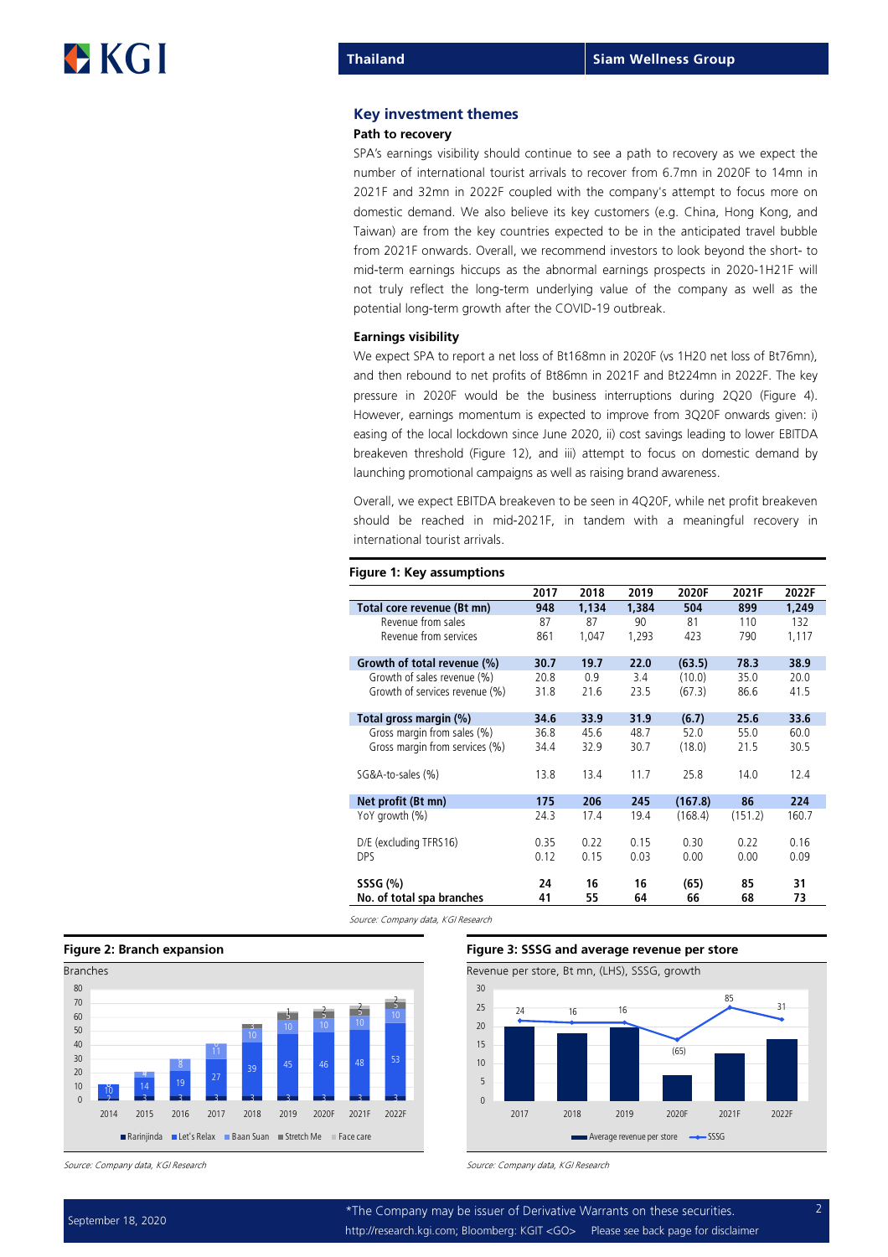#### Key investment themes

#### Path to recovery

SPA's earnings visibility should continue to see a path to recovery as we expect the number of international tourist arrivals to recover from 6.7mn in 2020F to 14mn in 2021F and 32mn in 2022F coupled with the company's attempt to focus more on domestic demand. We also believe its key customers (e.g. China, Hong Kong, and Taiwan) are from the key countries expected to be in the anticipated travel bubble from 2021F onwards. Overall, we recommend investors to look beyond the short- to mid-term earnings hiccups as the abnormal earnings prospects in 2020-1H21F will not truly reflect the long-term underlying value of the company as well as the potential long-term growth after the COVID-19 outbreak.

#### Earnings visibility

Figure 1: Key assumptions

We expect SPA to report a net loss of Bt168mn in 2020F (vs 1H20 net loss of Bt76mn), and then rebound to net profits of Bt86mn in 2021F and Bt224mn in 2022F. The key pressure in 2020F would be the business interruptions during 2Q20 (Figure 4). However, earnings momentum is expected to improve from 3Q20F onwards given: i) easing of the local lockdown since June 2020, ii) cost savings leading to lower EBITDA breakeven threshold (Figure 12), and iii) attempt to focus on domestic demand by launching promotional campaigns as well as raising brand awareness.

Overall, we expect EBITDA breakeven to be seen in 4Q20F, while net profit breakeven should be reached in mid-2021F, in tandem with a meaningful recovery in international tourist arrivals.

|                                | 2017 | 2018  | 2019  | 2020F   | 2021F   | 2022F |
|--------------------------------|------|-------|-------|---------|---------|-------|
| Total core revenue (Bt mn)     | 948  | 1,134 | 1,384 | 504     | 899     | 1,249 |
| Revenue from sales             | 87   | 87    | 90    | 81      | 110     | 132   |
| Revenue from services          | 861  | 1,047 | 1,293 | 423     | 790     | 1,117 |
| Growth of total revenue (%)    | 30.7 | 19.7  | 22.0  | (63.5)  | 78.3    | 38.9  |
| Growth of sales revenue (%)    | 20.8 | 0.9   | 3.4   | (10.0)  | 35.0    | 20.0  |
| Growth of services revenue (%) | 31.8 | 21.6  | 23.5  | (67.3)  | 86.6    | 41.5  |
| Total gross margin (%)         | 34.6 | 33.9  | 31.9  | (6.7)   | 25.6    | 33.6  |
| Gross margin from sales (%)    | 36.8 | 45.6  | 48.7  | 52.0    | 55.0    | 60.0  |
| Gross margin from services (%) | 34.4 | 32.9  | 30.7  | (18.0)  | 21.5    | 30.5  |
| SG&A-to-sales (%)              | 13.8 | 13.4  | 11.7  | 25.8    | 14.0    | 12.4  |
| Net profit (Bt mn)             | 175  | 206   | 245   | (167.8) | 86      | 224   |
| YoY growth (%)                 | 24.3 | 17.4  | 19.4  | (168.4) | (151.2) | 160.7 |
| D/E (excluding TFRS16)         | 0.35 | 0.22  | 0.15  | 0.30    | 0.22    | 0.16  |
| <b>DPS</b>                     | 0.12 | 0.15  | 0.03  | 0.00    | 0.00    | 0.09  |
| SSSG (%)                       | 24   | 16    | 16    | (65)    | 85      | 31    |
| No. of total spa branches      | 41   | 55    | 64    | 66      | 68      | 73    |

Source: Company data, KGI Research





Source: Company data, KGI Research Source: Company data, KGI Research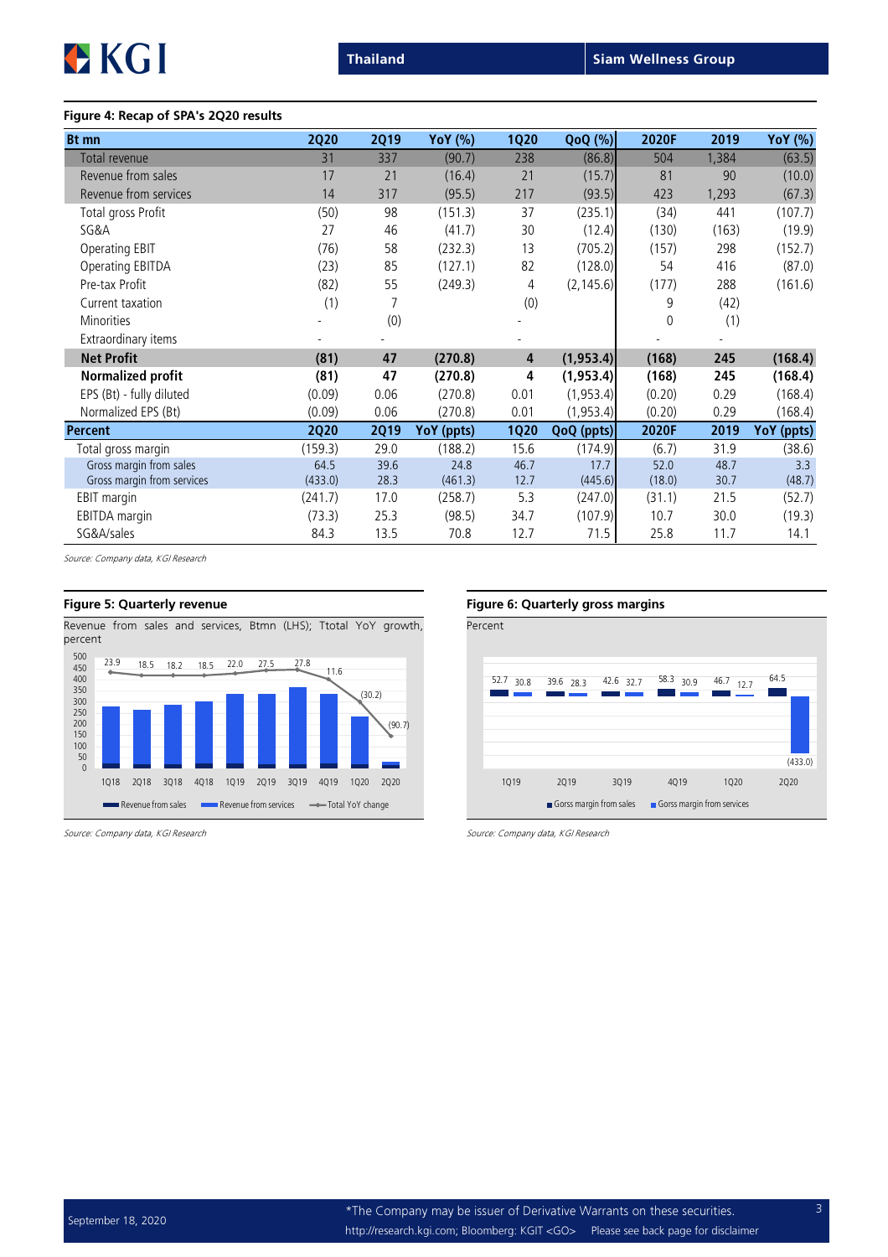

### Figure 4: Recap of SPA's 2Q20 results

| <b>Bt</b> mn               | <b>2Q20</b> | <b>2Q19</b> | YoY (%)    | <b>1Q20</b> | $QoQ(\%)$  | 2020F       | 2019  | YoY (%)    |
|----------------------------|-------------|-------------|------------|-------------|------------|-------------|-------|------------|
| Total revenue              | 31          | 337         | (90.7)     | 238         | (86.8)     | 504         | 1,384 | (63.5)     |
| Revenue from sales         | 17          | 21          | (16.4)     | 21          | (15.7)     | 81          | 90    | (10.0)     |
| Revenue from services      | 14          | 317         | (95.5)     | 217         | (93.5)     | 423         | 1,293 | (67.3)     |
| Total gross Profit         | (50)        | 98          | (151.3)    | 37          | (235.1)    | (34)        | 441   | (107.7)    |
| SG&A                       | 27          | 46          | (41.7)     | 30          | (12.4)     | (130)       | (163) | (19.9)     |
| <b>Operating EBIT</b>      | (76)        | 58          | (232.3)    | 13          | (705.2)    | (157)       | 298   | (152.7)    |
| Operating EBITDA           | (23)        | 85          | (127.1)    | 82          | (128.0)    | 54          | 416   | (87.0)     |
| Pre-tax Profit             | (82)        | 55          | (249.3)    | 4           | (2, 145.6) | (177)       | 288   | (161.6)    |
| Current taxation           | (1)         |             |            | (0)         |            | 9           | (42)  |            |
| <b>Minorities</b>          |             | (0)         |            |             |            | $\mathbf 0$ | (1)   |            |
| Extraordinary items        |             |             |            |             |            |             |       |            |
| <b>Net Profit</b>          | (81)        | 47          | (270.8)    | 4           | (1,953.4)  | (168)       | 245   | (168.4)    |
| Normalized profit          | (81)        | 47          | (270.8)    | 4           | (1, 953.4) | (168)       | 245   | (168.4)    |
| EPS (Bt) - fully diluted   | (0.09)      | 0.06        | (270.8)    | 0.01        | (1,953.4)  | (0.20)      | 0.29  | (168.4)    |
| Normalized EPS (Bt)        | (0.09)      | 0.06        | (270.8)    | 0.01        | (1,953.4)  | (0.20)      | 0.29  | (168.4)    |
| <b>Percent</b>             | <b>2Q20</b> | <b>2Q19</b> | YoY (ppts) | <b>1Q20</b> | QoQ (ppts) | 2020F       | 2019  | YoY (ppts) |
| Total gross margin         | (159.3)     | 29.0        | (188.2)    | 15.6        | (174.9)    | (6.7)       | 31.9  | (38.6)     |
| Gross margin from sales    | 64.5        | 39.6        | 24.8       | 46.7        | 17.7       | 52.0        | 48.7  | 3.3        |
| Gross margin from services | (433.0)     | 28.3        | (461.3)    | 12.7        | (445.6)    | (18.0)      | 30.7  | (48.7)     |
| EBIT margin                | (241.7)     | 17.0        | (258.7)    | 5.3         | (247.0)    | (31.1)      | 21.5  | (52.7)     |
| EBITDA margin              | (73.3)      | 25.3        | (98.5)     | 34.7        | (107.9)    | 10.7        | 30.0  | (19.3)     |
| SG&A/sales                 | 84.3        | 13.5        | 70.8       | 12.7        | 71.5       | 25.8        | 11.7  | 14.1       |

Source: Company data, KGI Research

Revenue from sales and services, Btmn (LHS); Ttotal YoY growth, percent



### Figure 5: Quarterly revenue Figure 6: Quarterly gross margins

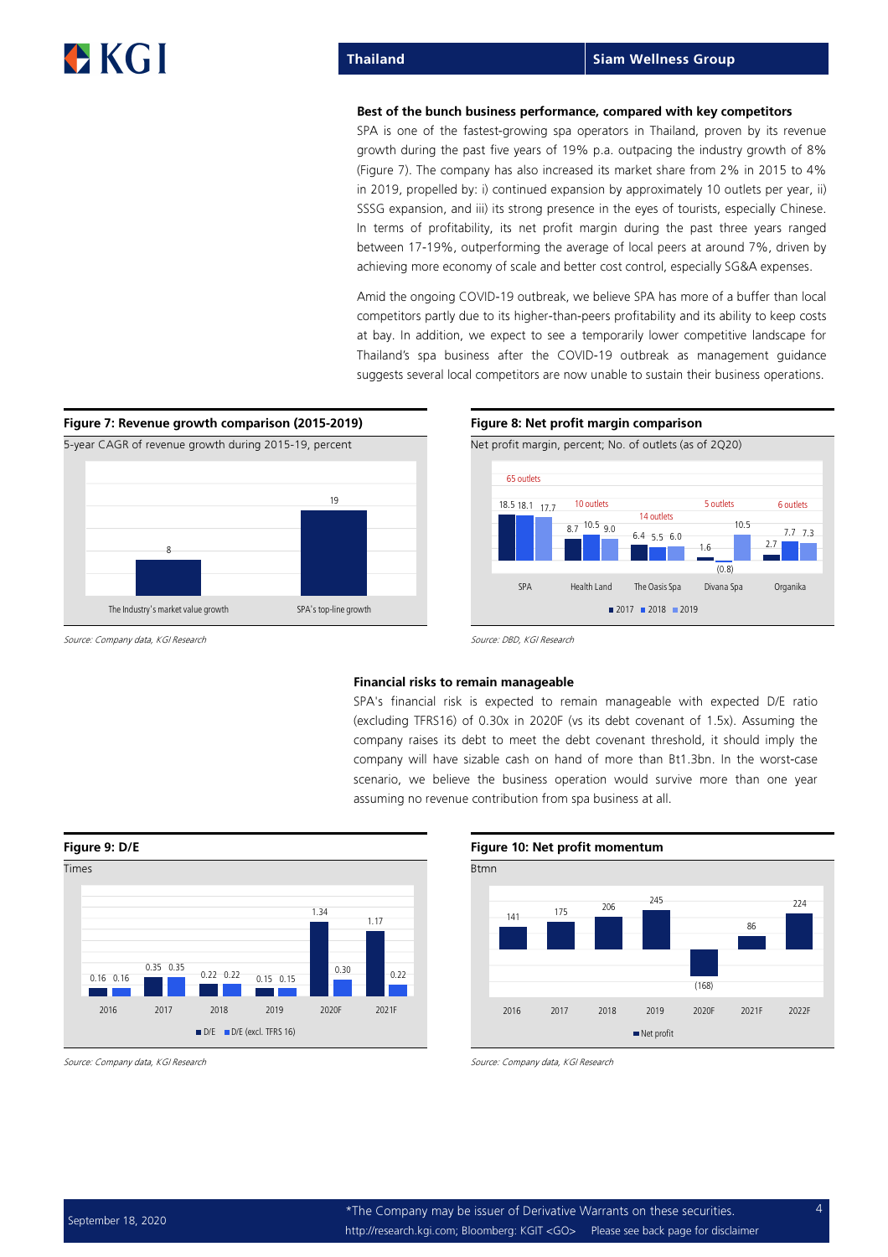#### Best of the bunch business performance, compared with key competitors

SPA is one of the fastest-growing spa operators in Thailand, proven by its revenue growth during the past five years of 19% p.a. outpacing the industry growth of 8% (Figure 7). The company has also increased its market share from 2% in 2015 to 4% in 2019, propelled by: i) continued expansion by approximately 10 outlets per year, ii) SSSG expansion, and iii) its strong presence in the eyes of tourists, especially Chinese. In terms of profitability, its net profit margin during the past three years ranged between 17-19%, outperforming the average of local peers at around 7%, driven by achieving more economy of scale and better cost control, especially SG&A expenses.

Amid the ongoing COVID-19 outbreak, we believe SPA has more of a buffer than local competitors partly due to its higher-than-peers profitability and its ability to keep costs at bay. In addition, we expect to see a temporarily lower competitive landscape for Thailand's spa business after the COVID-19 outbreak as management guidance suggests several local competitors are now unable to sustain their business operations.



Source: Company data, KGI Research Source: DBD, KGI Research Source: DBD, KGI Research

#### Financial risks to remain manageable

SPA's financial risk is expected to remain manageable with expected D/E ratio (excluding TFRS16) of 0.30x in 2020F (vs its debt covenant of 1.5x). Assuming the company raises its debt to meet the debt covenant threshold, it should imply the company will have sizable cash on hand of more than Bt1.3bn. In the worst-case scenario, we believe the business operation would survive more than one year assuming no revenue contribution from spa business at all.



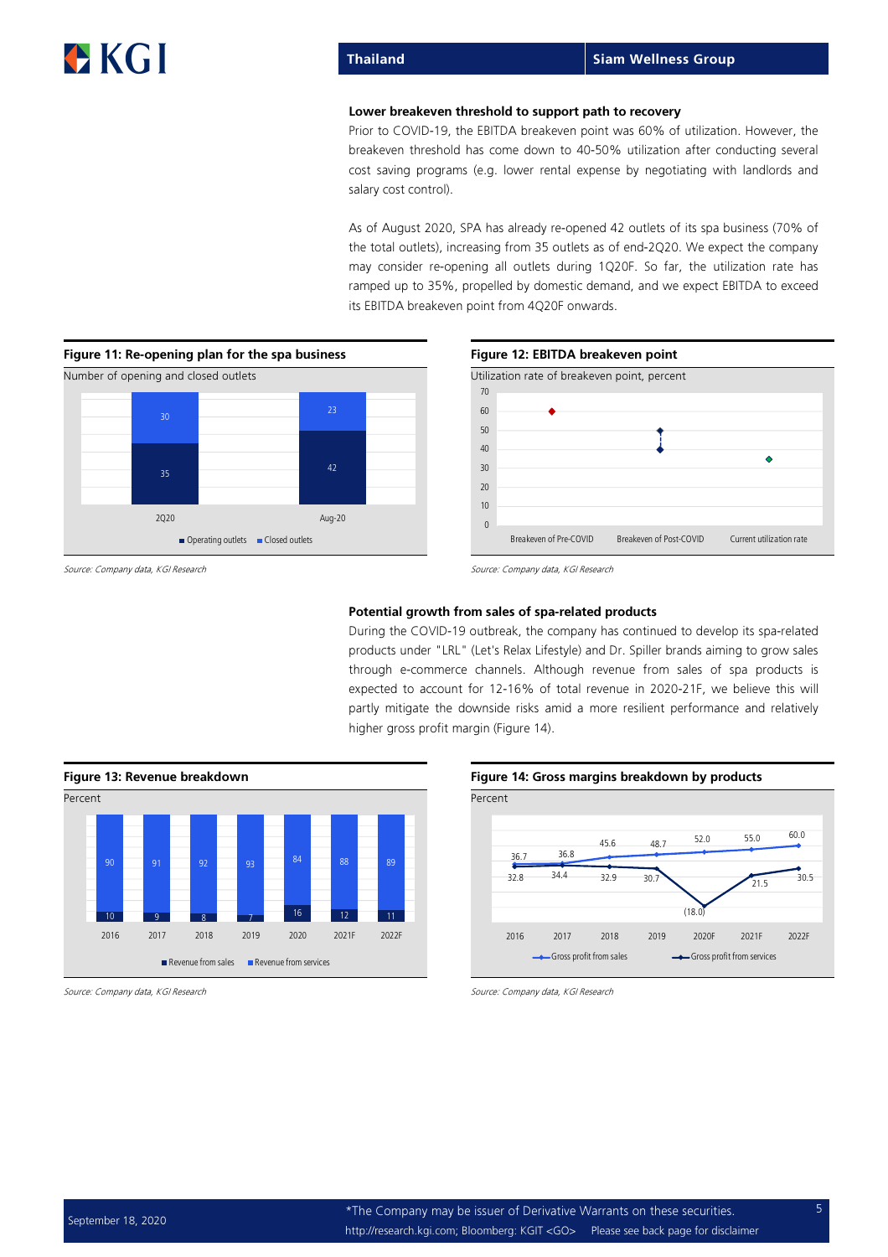### Thailand Siam Wellness Group

#### Lower breakeven threshold to support path to recovery

Prior to COVID-19, the EBITDA breakeven point was 60% of utilization. However, the breakeven threshold has come down to 4050% utilization after conducting several cost saving programs (e.g. lower rental expense by negotiating with landlords and salary cost control).

As of August 2020, SPA has already re-opened 42 outlets of its spa business (70% of the total outlets), increasing from 35 outlets as of end2Q20. We expect the company may consider re-opening all outlets during 1Q20F. So far, the utilization rate has ramped up to 35%, propelled by domestic demand, and we expect EBITDA to exceed its EBITDA breakeven point from 4Q20F onwards.





#### Potential growth from sales of spa-related products

During the COVID-19 outbreak, the company has continued to develop its spa-related products under "LRL" (Let's Relax Lifestyle) and Dr. Spiller brands aiming to grow sales through ecommerce channels. Although revenue from sales of spa products is expected to account for 12-16% of total revenue in 2020-21F, we believe this will partly mitigate the downside risks amid a more resilient performance and relatively higher gross profit margin (Figure 14).





Source: Company data, KGI Research Source: Company data, KGI Research Source: Company data, KGI Research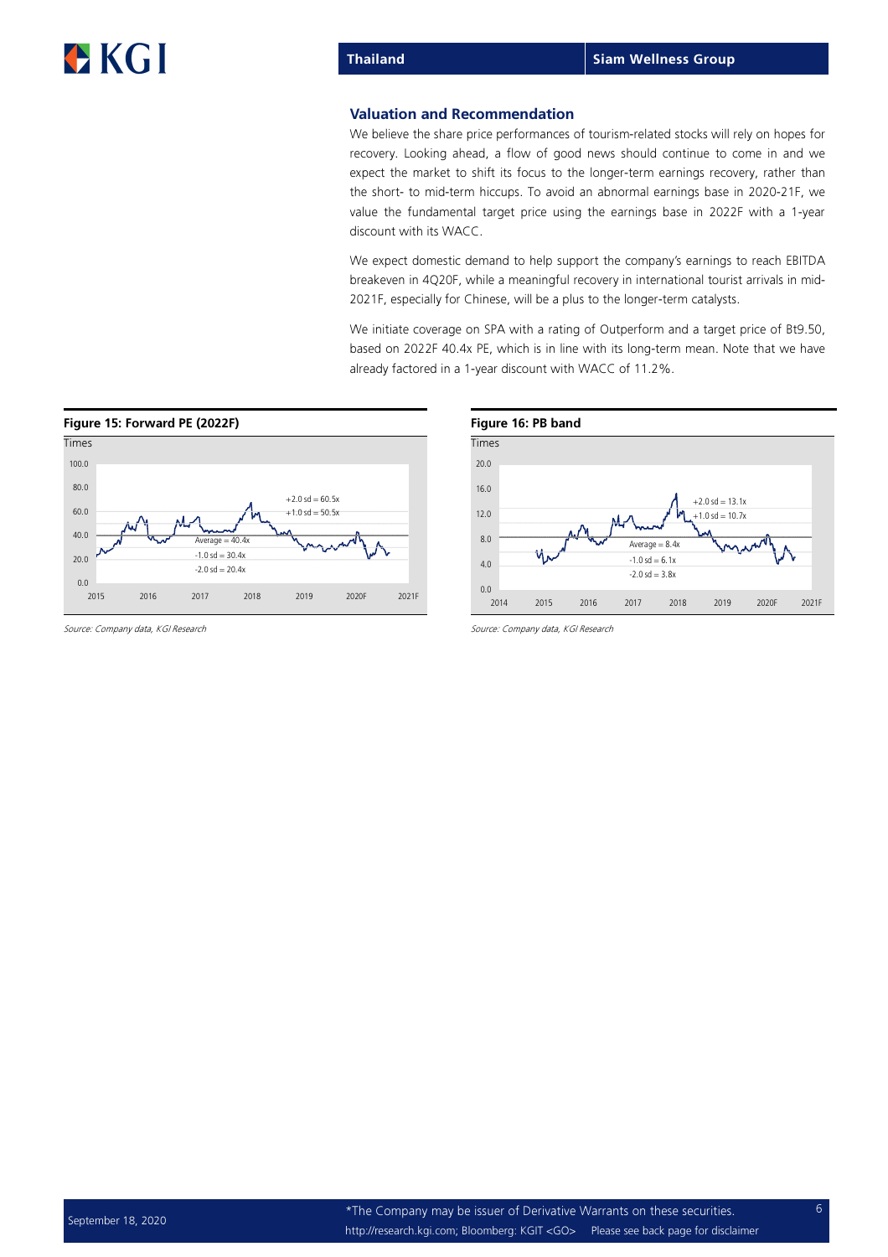### Valuation and Recommendation

We believe the share price performances of tourism-related stocks will rely on hopes for recovery. Looking ahead, a flow of good news should continue to come in and we expect the market to shift its focus to the longer-term earnings recovery, rather than the short- to mid-term hiccups. To avoid an abnormal earnings base in 2020-21F, we value the fundamental target price using the earnings base in 2022F with a 1year discount with its WACC.

We expect domestic demand to help support the company's earnings to reach EBITDA breakeven in 4Q20F, while a meaningful recovery in international tourist arrivals in mid 2021F, especially for Chinese, will be a plus to the longer-term catalysts.

We initiate coverage on SPA with a rating of Outperform and a target price of Bt9.50, based on 2022F 40.4x PE, which is in line with its long-term mean. Note that we have already factored in a 1-year discount with WACC of 11.2%.



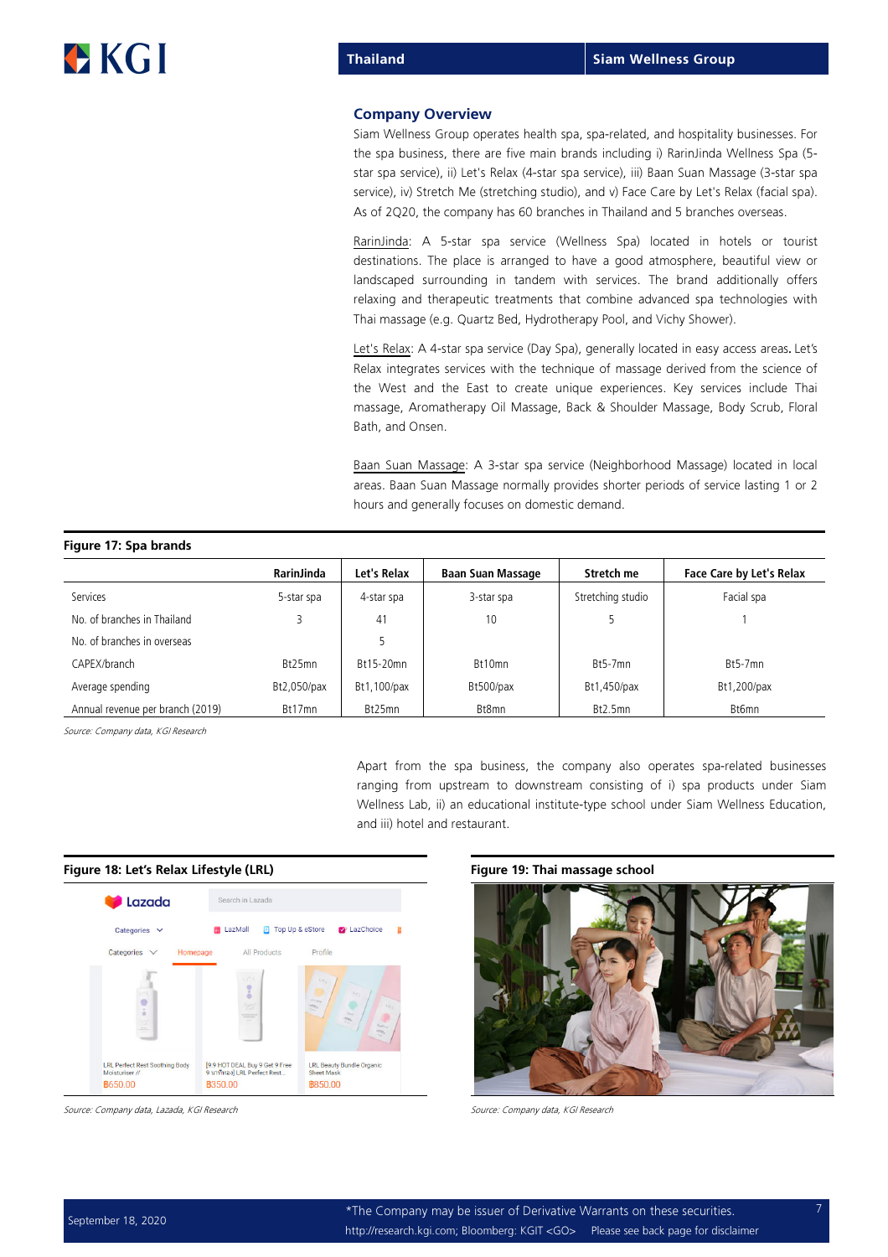### Company Overview

Siam Wellness Group operates health spa, sparelated, and hospitality businesses. For the spa business, there are five main brands including i) RarinJinda Wellness Spa (5 star spa service), ii) Let's Relax (4-star spa service), iii) Baan Suan Massage (3-star spa service), iv) Stretch Me (stretching studio), and v) Face Care by Let's Relax (facial spa). As of 2Q20, the company has 60 branches in Thailand and 5 branches overseas.

RarinJinda: A 5-star spa service (Wellness Spa) located in hotels or tourist destinations. The place is arranged to have a good atmosphere, beautiful view or landscaped surrounding in tandem with services. The brand additionally offers relaxing and therapeutic treatments that combine advanced spa technologies with Thai massage (e.g. Quartz Bed, Hydrotherapy Pool, and Vichy Shower).

Let's Relax: A 4-star spa service (Day Spa), generally located in easy access areas. Let's Relax integrates services with the technique of massage derived from the science of the West and the East to create unique experiences. Key services include Thai massage, Aromatherapy Oil Massage, Back & Shoulder Massage, Body Scrub, Floral Bath, and Onsen.

Baan Suan Massage: A 3-star spa service (Neighborhood Massage) located in local areas. Baan Suan Massage normally provides shorter periods of service lasting 1 or 2 hours and generally focuses on domestic demand.

| Figure 17: Spa brands            |                   |             |                          |                   |                                 |
|----------------------------------|-------------------|-------------|--------------------------|-------------------|---------------------------------|
|                                  | <b>RarinJinda</b> | Let's Relax | <b>Baan Suan Massage</b> | Stretch me        | <b>Face Care by Let's Relax</b> |
| Services                         | 5-star spa        | 4-star spa  | 3-star spa               | Stretching studio | Facial spa                      |
| No. of branches in Thailand      |                   | 41          | 10                       |                   |                                 |
| No. of branches in overseas      |                   |             |                          |                   |                                 |
| CAPEX/branch                     | Bt25mn            | Bt15-20mn   | Bt10mn                   | $Bt5-7mn$         | $Bt5-7mn$                       |
| Average spending                 | Bt2,050/pax       | Bt1,100/pax | Bt500/pax                | Bt1,450/pax       | Bt1,200/pax                     |
| Annual revenue per branch (2019) | Bt17mn            | Bt25mn      | Bt8mn                    | Bt2.5mn           | Bt6mn                           |

Source: Company data, KGI Research

Apart from the spa business, the company also operates spa-related businesses ranging from upstream to downstream consisting of i) spa products under Siam Wellness Lab, ii) an educational institute-type school under Siam Wellness Education, and iii) hotel and restaurant.

#### Figure 18: Let's Relax Lifestyle (LRL) Figure 19: Thai massage school



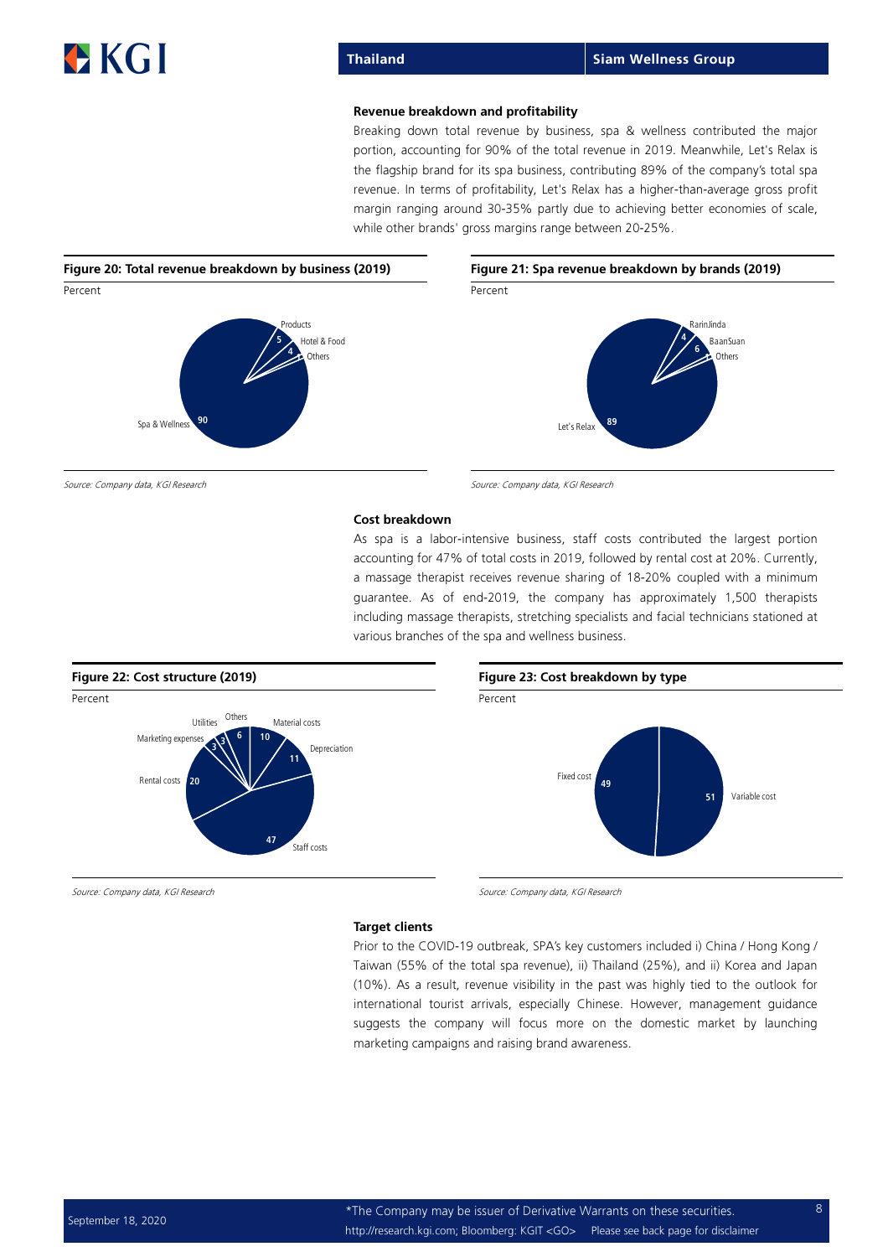### Revenue breakdown and profitability

Breaking down total revenue by business, spa & wellness contributed the major portion, accounting for 90% of the total revenue in 2019. Meanwhile, Let's Relax is the flagship brand for its spa business, contributing 89% of the company's total spa revenue. In terms of profitability, Let's Relax has a higher-than-average gross profit margin ranging around 30-35% partly due to achieving better economies of scale, while other brands' gross margins range between 20-25%.



Source: Company data, KGI Research Source: Company data, KGI Research Source: Company data, KGI Research

#### Cost breakdown

As spa is a labor-intensive business, staff costs contributed the largest portion accounting for 47% of total costs in 2019, followed by rental cost at 20%. Currently, a massage therapist receives revenue sharing of 18-20% coupled with a minimum guarantee. As of end-2019, the company has approximately 1,500 therapists including massage therapists, stretching specialists and facial technicians stationed at various branches of the spa and wellness business.



#### Target clients

Prior to the COVID-19 outbreak, SPA's key customers included i) China / Hong Kong / Taiwan (55% of the total spa revenue), ii) Thailand (25%), and ii) Korea and Japan (10%). As a result, revenue visibility in the past was highly tied to the outlook for international tourist arrivals, especially Chinese. However, management guidance suggests the company will focus more on the domestic market by launching marketing campaigns and raising brand awareness.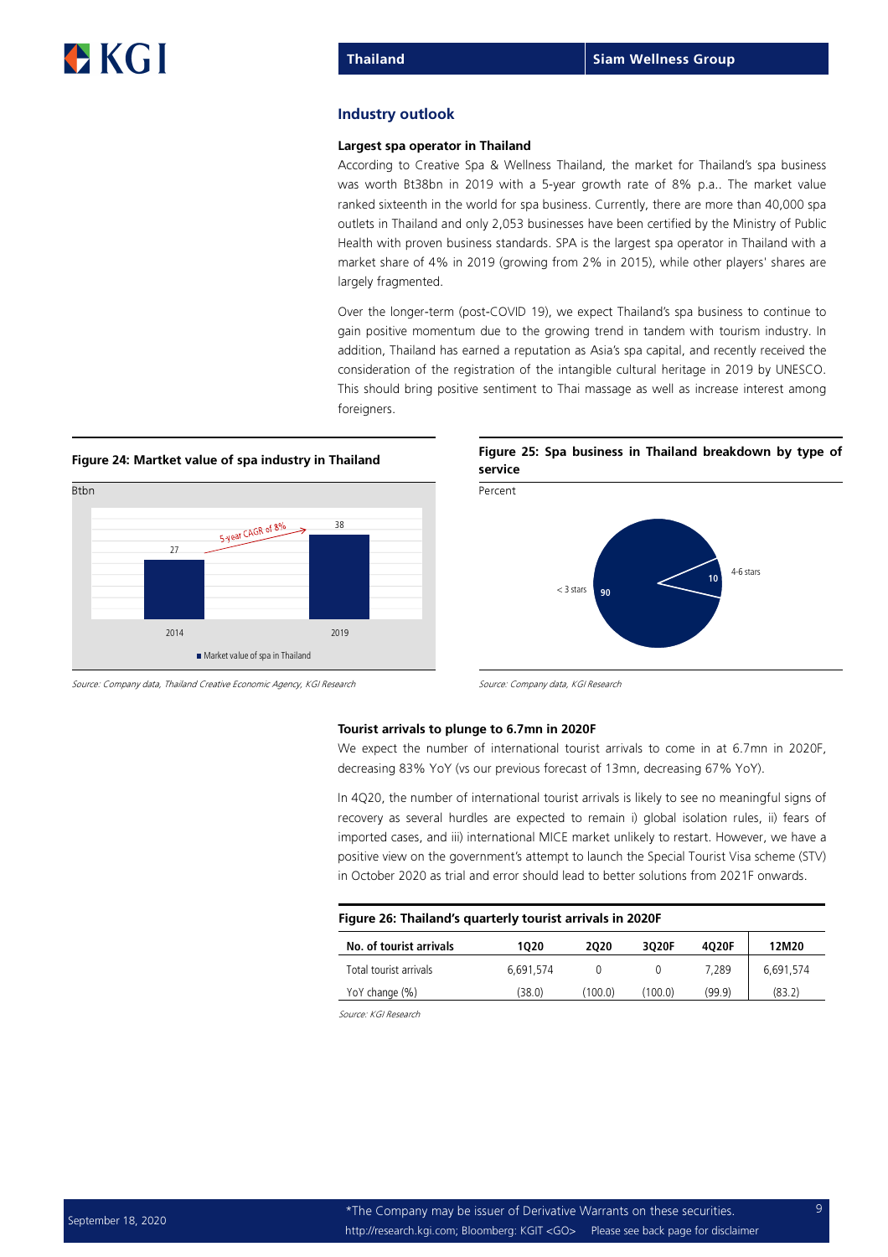#### Industry outlook

#### Largest spa operator in Thailand

According to Creative Spa & Wellness Thailand, the market for Thailand's spa business was worth Bt38bn in 2019 with a 5-year growth rate of 8% p.a.. The market value ranked sixteenth in the world for spa business. Currently, there are more than 40,000 spa outlets in Thailand and only 2,053 businesses have been certified by the Ministry of Public Health with proven business standards. SPA is the largest spa operator in Thailand with a market share of 4% in 2019 (growing from 2% in 2015), while other players' shares are largely fragmented.

Over the longer-term (post-COVID 19), we expect Thailand's spa business to continue to gain positive momentum due to the growing trend in tandem with tourism industry. In addition, Thailand has earned a reputation as Asia's spa capital, and recently received the consideration of the registration of the intangible cultural heritage in 2019 by UNESCO. This should bring positive sentiment to Thai massage as well as increase interest among foreigners.





### Figure 24: Martket value of spa industry in Thailand Figure 25: Spa business in Thailand breakdown by type of service



Source: Company data, Thailand Creative Economic Agency, KGI Research Source: Company data, KGI Research

#### Tourist arrivals to plunge to 6.7mn in 2020F

We expect the number of international tourist arrivals to come in at 6.7mn in 2020F, decreasing 83% YoY (vs our previous forecast of 13mn, decreasing 67% YoY).

In 4Q20, the number of international tourist arrivals is likely to see no meaningful signs of recovery as several hurdles are expected to remain i) global isolation rules, ii) fears of imported cases, and iii) international MICE market unlikely to restart. However, we have a positive view on the government's attempt to launch the Special Tourist Visa scheme (STV) in October 2020 as trial and error should lead to better solutions from 2021F onwards.

| Figure 26: Thailand's quarterly tourist arrivals in 2020F |  |
|-----------------------------------------------------------|--|
|-----------------------------------------------------------|--|

| No. of tourist arrivals | 1020      | 2020    | 3020F   | 4020F  | 12M20     |
|-------------------------|-----------|---------|---------|--------|-----------|
| Total tourist arrivals  | 6.691.574 |         |         | 7.289  | 6,691,574 |
| YoY change (%)          | (38.0)    | (100.0) | (100.0) | (99.9) | (83.2)    |
|                         |           |         |         |        |           |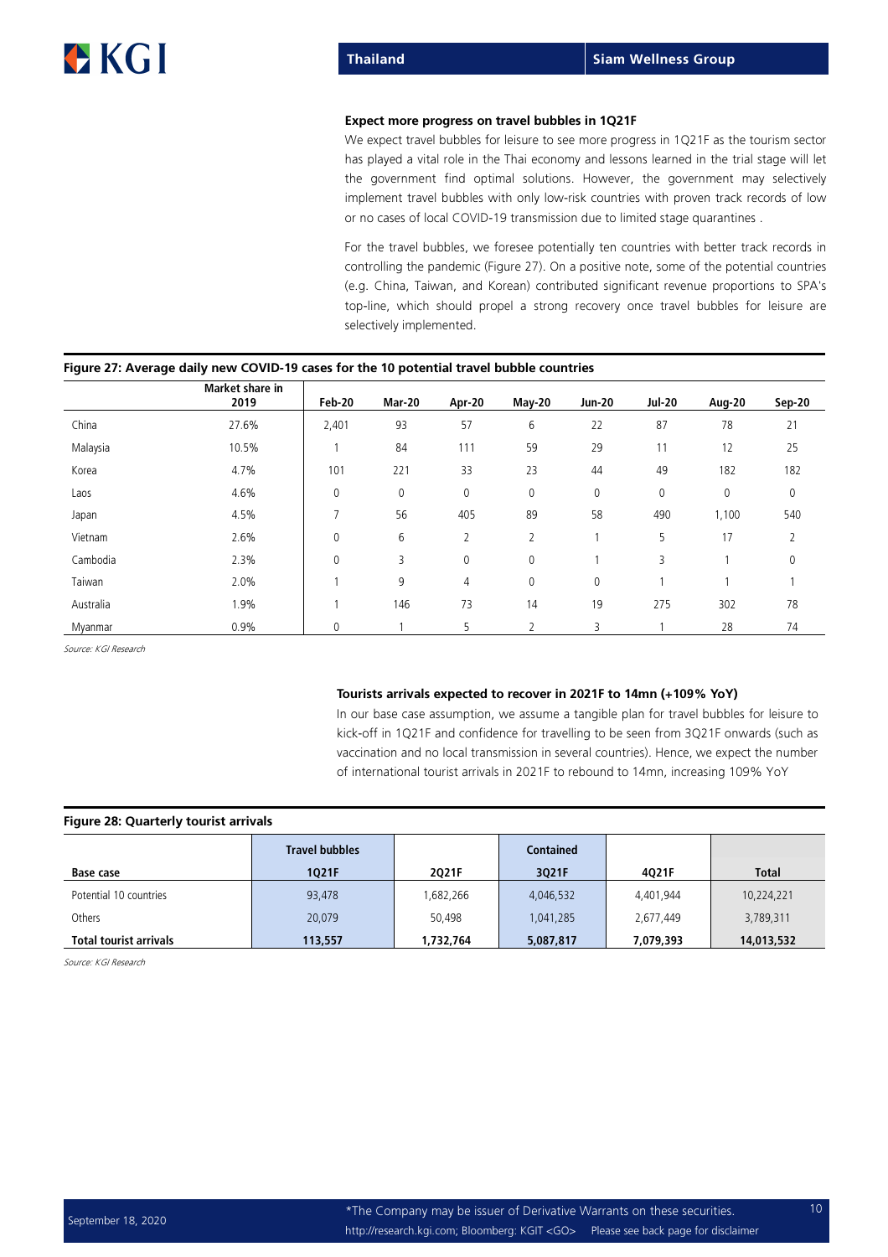#### Expect more progress on travel bubbles in 1Q21F

We expect travel bubbles for leisure to see more progress in 1Q21F as the tourism sector has played a vital role in the Thai economy and lessons learned in the trial stage will let the government find optimal solutions. However, the government may selectively implement travel bubbles with only lowrisk countries with proven track records of low or no cases of local COVID-19 transmission due to limited stage quarantines .

For the travel bubbles, we foresee potentially ten countries with better track records in controlling the pandemic (Figure 27). On a positive note, some of the potential countries (e.g. China, Taiwan, and Korean) contributed significant revenue proportions to SPA's top-line, which should propel a strong recovery once travel bubbles for leisure are selectively implemented.

|           | Market share in<br>2019 | <b>Feb-20</b>  | <b>Mar-20</b> | Apr-20         | May-20      | <b>Jun-20</b> | <b>Jul-20</b>       | Aug-20 | Sep-20 |
|-----------|-------------------------|----------------|---------------|----------------|-------------|---------------|---------------------|--------|--------|
| China     | 27.6%                   | 2,401          | 93            | 57             | 6           | 22            | 87                  | 78     | 21     |
| Malaysia  | 10.5%                   |                | 84            | 111            | 59          | 29            | 11                  | 12     | 25     |
| Korea     | 4.7%                    | 101            | 221           | 33             | 23          | 44            | 49                  | 182    | 182    |
| Laos      | 4.6%                    | $\mathbf 0$    | 0             | 0              | 0           | 0             | $\mathsf{O}\xspace$ | 0      | 0      |
| Japan     | 4.5%                    | $\overline{7}$ | 56            | 405            | 89          | 58            | 490                 | 1,100  | 540    |
| Vietnam   | 2.6%                    | $\mathbf 0$    | 6             | $\overline{2}$ | 2           |               | 5                   | 17     | 2      |
| Cambodia  | 2.3%                    | $\mathbf 0$    | 3             | 0              | 0           |               | 3                   |        | 0      |
| Taiwan    | 2.0%                    |                | 9             | 4              | $\mathbf 0$ | 0             |                     |        |        |
| Australia | 1.9%                    |                | 146           | 73             | 14          | 19            | 275                 | 302    | 78     |
| Myanmar   | 0.9%                    | $\mathbf{0}$   |               | 5              |             | 3             |                     | 28     | 74     |

### Figure 27: Average daily new COVID-19 cases for the 10 potential travel bubble countries

Source: KGI Research

#### Tourists arrivals expected to recover in 2021F to 14mn (+109% YoY)

In our base case assumption, we assume a tangible plan for travel bubbles for leisure to kick-off in 1Q21F and confidence for travelling to be seen from 3Q21F onwards (such as vaccination and no local transmission in several countries). Hence, we expect the number of international tourist arrivals in 2021F to rebound to 14mn, increasing 109% YoY

| Figure 28: Quarterly tourist arrivals |                       |           |                  |           |              |  |  |  |  |
|---------------------------------------|-----------------------|-----------|------------------|-----------|--------------|--|--|--|--|
|                                       | <b>Travel bubbles</b> |           | <b>Contained</b> |           |              |  |  |  |  |
| Base case                             | 1Q21F                 | 2021F     | 3021F            | 4021F     | <b>Total</b> |  |  |  |  |
| Potential 10 countries                | 93,478                | 1,682,266 | 4,046,532        | 4,401,944 | 10,224,221   |  |  |  |  |
| Others                                | 20,079                | 50.498    | 1,041,285        | 2,677,449 | 3,789,311    |  |  |  |  |
| <b>Total tourist arrivals</b>         | 113,557               | 1,732,764 | 5,087,817        | 7,079,393 | 14,013,532   |  |  |  |  |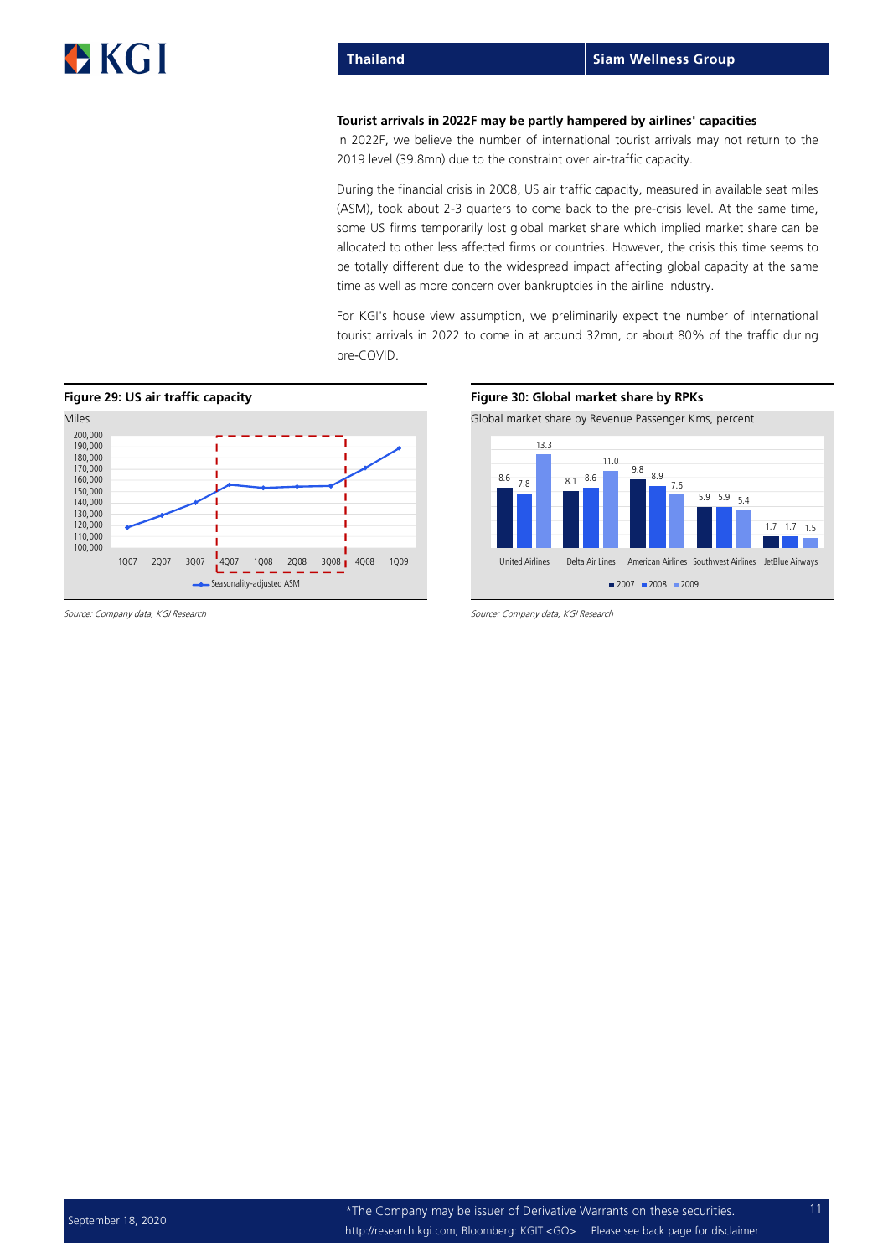#### Tourist arrivals in 2022F may be partly hampered by airlines' capacities

In 2022F, we believe the number of international tourist arrivals may not return to the 2019 level (39.8mn) due to the constraint over air-traffic capacity.

During the financial crisis in 2008, US air traffic capacity, measured in available seat miles (ASM), took about 2-3 quarters to come back to the pre-crisis level. At the same time, some US firms temporarily lost global market share which implied market share can be allocated to other less affected firms or countries. However, the crisis this time seems to be totally different due to the widespread impact affecting global capacity at the same time as well as more concern over bankruptcies in the airline industry.

For KGI's house view assumption, we preliminarily expect the number of international tourist arrivals in 2022 to come in at around 32mn, or about 80% of the traffic during pre-COVID.



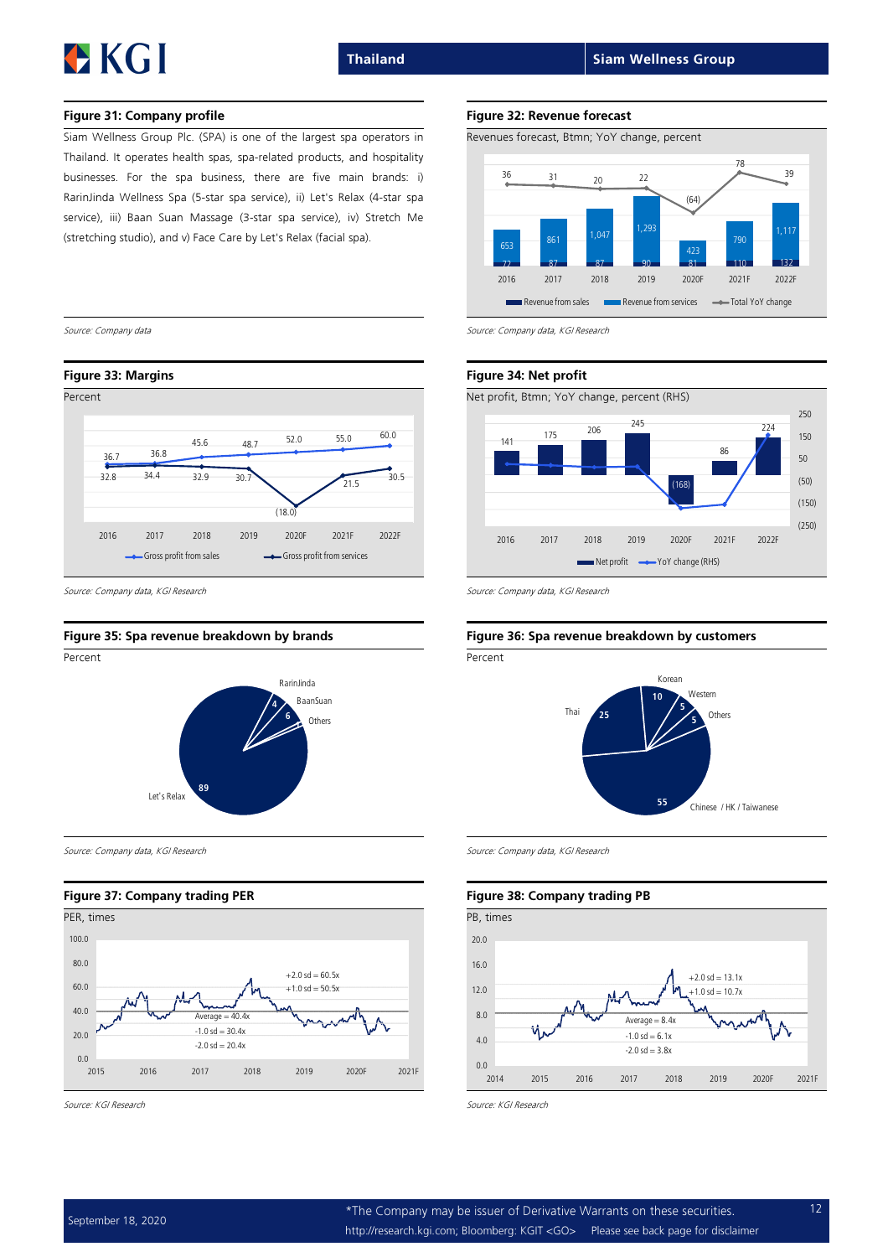#### Figure 31: Company profile Figure 32: Revenue forecast

Siam Wellness Group Plc. (SPA) is one of the largest spa operators in Thailand. It operates health spas, spa-related products, and hospitality businesses. For the spa business, there are five main brands: i) RarinJinda Wellness Spa (5-star spa service), ii) Let's Relax (4-star spa service), iii) Baan Suan Massage (3-star spa service), iv) Stretch Me (stretching studio), and v) Face Care by Let's Relax (facial spa).



Source: Company data, KGI Research Source: Company data, KGI Research Source: Company data, KGI Research



Source: Company data, KGI Research Source: Company data, KGI Research Source: Company data, KGI Research

#### Figure 37: Company trading PER Figure 38: Company trading PB







Source: Company data Source: Company data, KGI Research



#### Figure 35: Spa revenue breakdown by brands Figure 36: Spa revenue breakdown by customers



#### 0.0 4.0 8.0 12.0 16.0 20.0 2014 2015 2016 2017 2018 2019 2020F 2021F  $Averane = 8.4x$  $-1.0$  sd  $-10.7x$  $+2.0$  sd = 13.1x  $-1.0$  sd = 6.1x  $-2.0$  sd =  $3.8x$

Source: KGI Research Source: KGI Research Source: KGI Research Source: KGI Research Source: KGI Research Source: KGI Research Source: KGI Research Source: KGI Research Source: KGI Research Source: KGI Research Source: KGI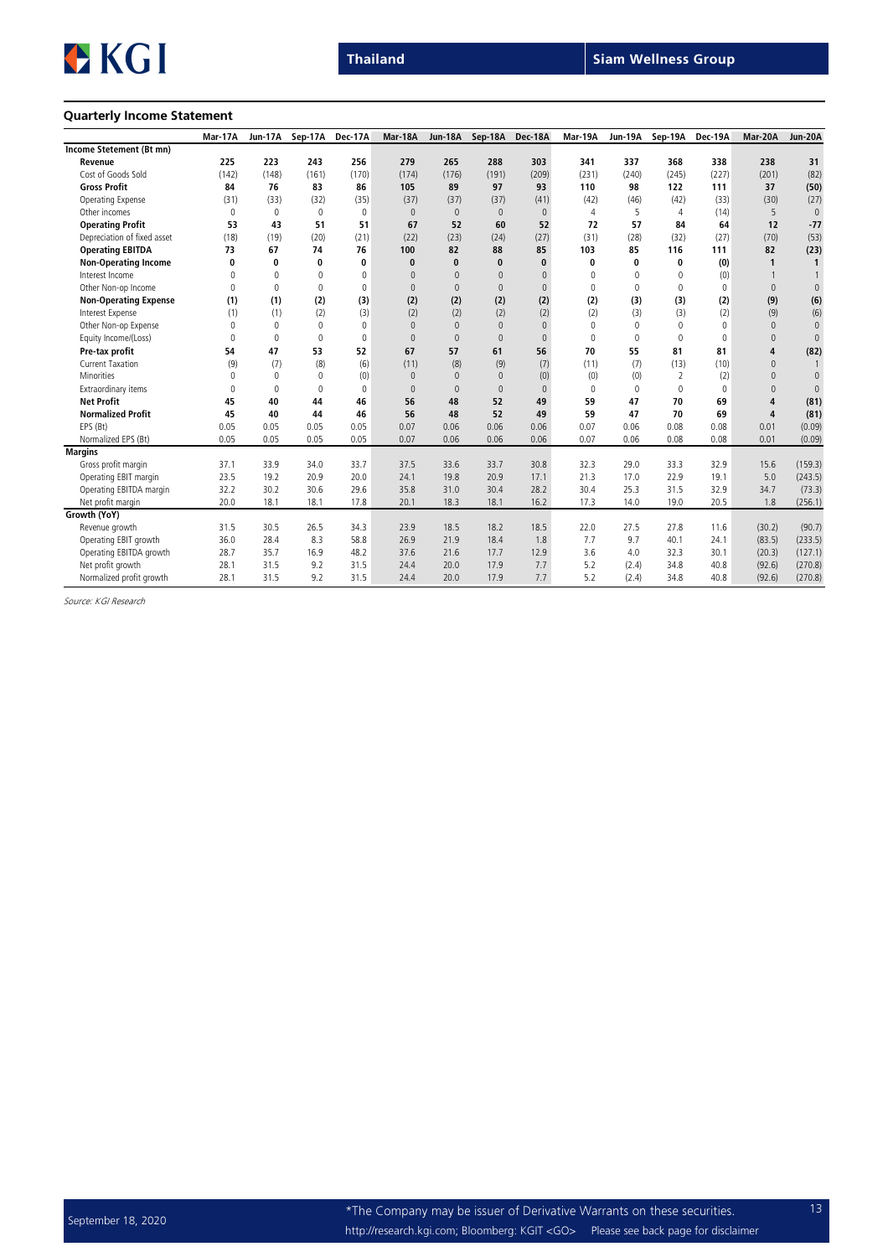### Quarterly Income Statement

|                              | Mar-17A  | <b>Jun-17A</b> | Sep-17A  | Dec-17A     | Mar-18A      | <b>Jun-18A</b> | Sep-18A      | Dec-18A      | Mar-19A  | Jun-19A     | Sep-19A        | Dec-19A  | Mar-20A        | Jun-20A      |
|------------------------------|----------|----------------|----------|-------------|--------------|----------------|--------------|--------------|----------|-------------|----------------|----------|----------------|--------------|
| Income Stetement (Bt mn)     |          |                |          |             |              |                |              |              |          |             |                |          |                |              |
| Revenue                      | 225      | 223            | 243      | 256         | 279          | 265            | 288          | 303          | 341      | 337         | 368            | 338      | 238            | 31           |
| Cost of Goods Sold           | (142)    | (148)          | (161)    | (170)       | (174)        | (176)          | (191)        | (209)        | (231)    | (240)       | (245)          | (227)    | (201)          | (82)         |
| <b>Gross Profit</b>          | 84       | 76             | 83       | 86          | 105          | 89             | 97           | 93           | 110      | 98          | 122            | 111      | 37             | (50)         |
| Operating Expense            | (31)     | (33)           | (32)     | (35)        | (37)         | (37)           | (37)         | (41)         | (42)     | (46)        | (42)           | (33)     | (30)           | (27)         |
| Other incomes                | $\Omega$ | $\mathbf 0$    | $\Omega$ | 0           | $\mathbf{0}$ | $\mathbf{0}$   | $\mathbf{0}$ | $\mathbf{0}$ | 4        | 5           | $\overline{4}$ | (14)     | 5              | $\mathbf{0}$ |
| <b>Operating Profit</b>      | 53       | 43             | 51       | 51          | 67           | 52             | 60           | 52           | 72       | 57          | 84             | 64       | 12             | $-77$        |
| Depreciation of fixed asset  | (18)     | (19)           | (20)     | (21)        | (22)         | (23)           | (24)         | (27)         | (31)     | (28)        | (32)           | (27)     | (70)           | (53)         |
| <b>Operating EBITDA</b>      | 73       | 67             | 74       | 76          | 100          | 82             | 88           | 85           | 103      | 85          | 116            | 111      | 82             | (23)         |
| <b>Non-Operating Income</b>  | 0        | 0              | 0        | $\bf{0}$    | $\bf{0}$     | $\bf{0}$       | $\bf{0}$     | $\bf{0}$     | 0        | 0           | 0              | (0)      | $\mathbf{1}$   | $\mathbf{1}$ |
| Interest Income              | $\Omega$ | $\Omega$       | $\Omega$ | $\Omega$    | $\Omega$     | $\Omega$       | $\Omega$     | $\Omega$     | $\Omega$ | $\Omega$    | $\Omega$       | (0)      |                | $\mathbf{1}$ |
| Other Non-op Income          | $\Omega$ | $\Omega$       | $\Omega$ | $\Omega$    | $\mathbf{0}$ | $\Omega$       | $\Omega$     | $\Omega$     | 0        | $\mathbf 0$ | $\Omega$       | $\Omega$ | $\Omega$       | $\mathbb O$  |
| <b>Non-Operating Expense</b> | (1)      | (1)            | (2)      | (3)         | (2)          | (2)            | (2)          | (2)          | (2)      | (3)         | (3)            | (2)      | (9)            | (6)          |
| Interest Expense             | (1)      | (1)            | (2)      | (3)         | (2)          | (2)            | (2)          | (2)          | (2)      | (3)         | (3)            | (2)      | (9)            | (6)          |
| Other Non-op Expense         | $\Omega$ | $\Omega$       | $\Omega$ | $\Omega$    | $\mathbf{0}$ | $\Omega$       | $\Omega$     | $\Omega$     | 0        | 0           | $\Omega$       | $\Omega$ | $\Omega$       | $\mathbf{0}$ |
| Equity Income/(Loss)         | $\Omega$ | $\mathbf{0}$   | $\Omega$ | $\mathbf 0$ | $\mathbf{0}$ | $\mathbf{0}$   | $\Omega$     | $\mathbf{0}$ | 0        | $\mathbf 0$ | $\Omega$       | $\Omega$ | $\Omega$       | $\mathbf{0}$ |
| Pre-tax profit               | 54       | 47             | 53       | 52          | 67           | 57             | 61           | 56           | 70       | 55          | 81             | 81       | $\overline{4}$ | (82)         |
| <b>Current Taxation</b>      | (9)      | (7)            | (8)      | (6)         | (11)         | (8)            | (9)          | (7)          | (11)     | (7)         | (13)           | (10)     | $\mathbf{0}$   |              |
| <b>Minorities</b>            | $\Omega$ | $\Omega$       | $\Omega$ | (0)         | $\mathbf{0}$ | $\Omega$       | $\Omega$     | (0)          | (0)      | (0)         | 2              | (2)      | $\Omega$       | $\mathbb O$  |
| Extraordinary items          | $\Omega$ | $\Omega$       | $\Omega$ | 0           | $\mathbf{0}$ | $\Omega$       | $\mathbf{0}$ | $\Omega$     | 0        | 0           | $\Omega$       | $\Omega$ | $\Omega$       | $\mathbf{0}$ |
| <b>Net Profit</b>            | 45       | 40             | 44       | 46          | 56           | 48             | 52           | 49           | 59       | 47          | 70             | 69       | $\overline{4}$ | (81)         |
| <b>Normalized Profit</b>     | 45       | 40             | 44       | 46          | 56           | 48             | 52           | 49           | 59       | 47          | 70             | 69       | $\overline{4}$ | (81)         |
| EPS (Bt)                     | 0.05     | 0.05           | 0.05     | 0.05        | 0.07         | 0.06           | 0.06         | 0.06         | 0.07     | 0.06        | 0.08           | 0.08     | 0.01           | (0.09)       |
| Normalized EPS (Bt)          | 0.05     | 0.05           | 0.05     | 0.05        | 0.07         | 0.06           | 0.06         | 0.06         | 0.07     | 0.06        | 0.08           | 0.08     | 0.01           | (0.09)       |
| <b>Margins</b>               |          |                |          |             |              |                |              |              |          |             |                |          |                |              |
| Gross profit margin          | 37.1     | 33.9           | 34.0     | 33.7        | 37.5         | 33.6           | 33.7         | 30.8         | 32.3     | 29.0        | 33.3           | 32.9     | 15.6           | (159.3)      |
| Operating EBIT margin        | 23.5     | 19.2           | 20.9     | 20.0        | 24.1         | 19.8           | 20.9         | 17.1         | 21.3     | 17.0        | 22.9           | 19.1     | 5.0            | (243.5)      |
| Operating EBITDA margin      | 32.2     | 30.2           | 30.6     | 29.6        | 35.8         | 31.0           | 30.4         | 28.2         | 30.4     | 25.3        | 31.5           | 32.9     | 34.7           | (73.3)       |
| Net profit margin            | 20.0     | 18.1           | 18.1     | 17.8        | 20.1         | 18.3           | 18.1         | 16.2         | 17.3     | 14.0        | 19.0           | 20.5     | 1.8            | (256.1)      |
| Growth (YoY)                 |          |                |          |             |              |                |              |              |          |             |                |          |                |              |
| Revenue growth               | 31.5     | 30.5           | 26.5     | 34.3        | 23.9         | 18.5           | 18.2         | 18.5         | 22.0     | 27.5        | 27.8           | 11.6     | (30.2)         | (90.7)       |
| Operating EBIT growth        | 36.0     | 28.4           | 8.3      | 58.8        | 26.9         | 21.9           | 18.4         | 1.8          | 7.7      | 9.7         | 40.1           | 24.1     | (83.5)         | (233.5)      |
| Operating EBITDA growth      | 28.7     | 35.7           | 16.9     | 48.2        | 37.6         | 21.6           | 17.7         | 12.9         | 3.6      | 4.0         | 32.3           | 30.1     | (20.3)         | (127.1)      |
| Net profit growth            | 28.1     | 31.5           | 9.2      | 31.5        | 24.4         | 20.0           | 17.9         | 7.7          | 5.2      | (2.4)       | 34.8           | 40.8     | (92.6)         | (270.8)      |
| Normalized profit growth     | 28.1     | 31.5           | 9.2      | 31.5        | 24.4         | 20.0           | 17.9         | 7.7          | 5.2      | (2.4)       | 34.8           | 40.8     | (92.6)         | (270.8)      |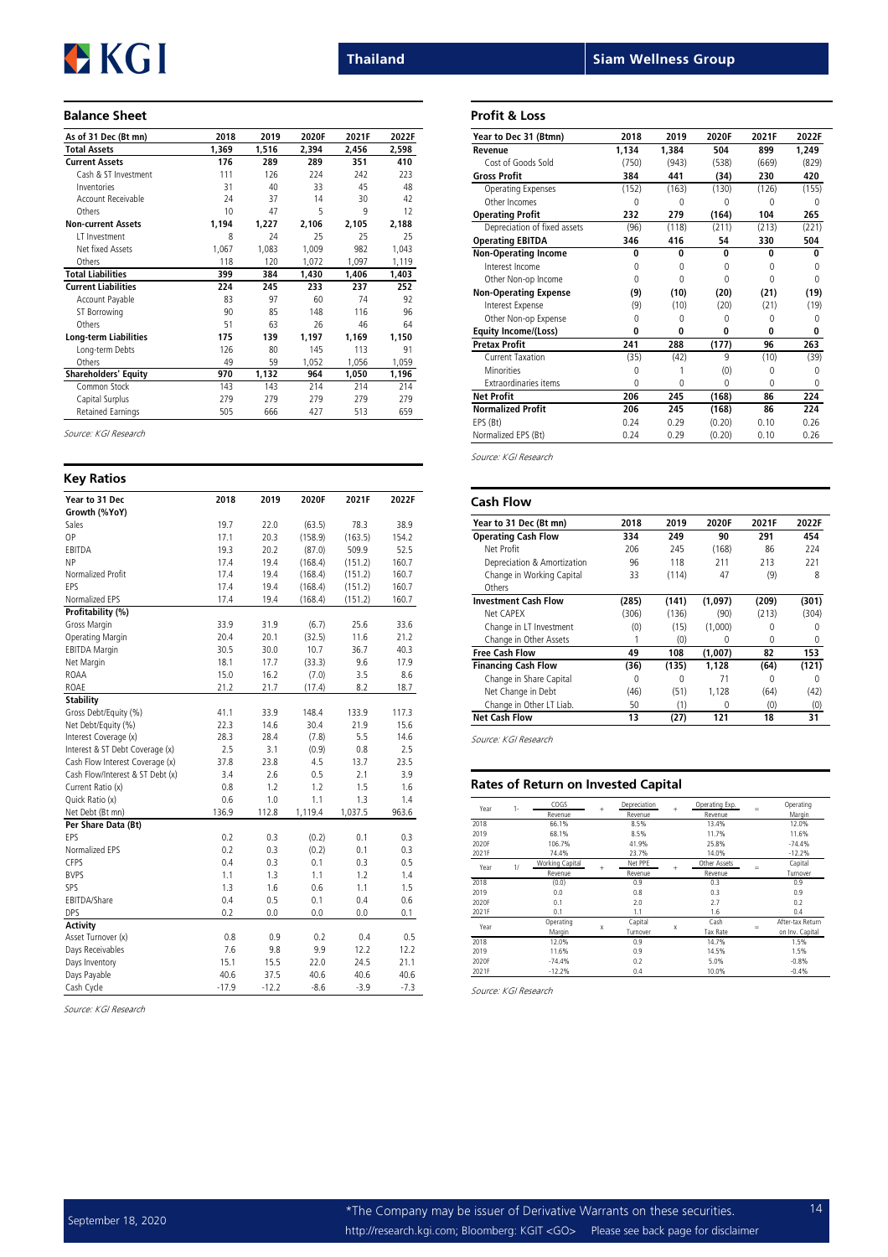### Balance Sheet

| As of 31 Dec (Bt mn)        | 2018  | 2019  | 2020F | 2021F | 2022F |
|-----------------------------|-------|-------|-------|-------|-------|
| <b>Total Assets</b>         | 1,369 | 1,516 | 2,394 | 2,456 | 2,598 |
| <b>Current Assets</b>       | 176   | 289   | 289   | 351   | 410   |
| Cash & ST Investment        | 111   | 126   | 224   | 242   | 223   |
| Inventories                 | 31    | 40    | 33    | 45    | 48    |
| Account Receivable          | 74    | 37    | 14    | 30    | 42    |
| Others                      | 10    | 47    | 5     | 9     | 12    |
| <b>Non-current Assets</b>   | 1,194 | 1,227 | 2,106 | 2,105 | 2,188 |
| IT Investment               | 8     | 24    | 25    | 25    | 25    |
| Net fixed Assets            | 1,067 | 1,083 | 1,009 | 982   | 1,043 |
| Others                      | 118   | 120   | 1,072 | 1,097 | 1,119 |
| <b>Total Liabilities</b>    | 399   | 384   | 1,430 | 1,406 | 1,403 |
| <b>Current Liabilities</b>  | 224   | 245   | 233   | 237   | 252   |
| Account Payable             | 83    | 97    | 60    | 74    | 92    |
| <b>ST Borrowing</b>         | 90    | 85    | 148   | 116   | 96    |
| Others                      | 51    | 63    | 26    | 46    | 64    |
| Long-term Liabilities       | 175   | 139   | 1,197 | 1,169 | 1,150 |
| Long-term Debts             | 126   | 80    | 145   | 113   | 91    |
| Others                      | 49    | 59    | 1,052 | 1,056 | 1,059 |
| <b>Shareholders' Equity</b> | 970   | 1,132 | 964   | 1,050 | 1,196 |
| Common Stock                | 143   | 143   | 214   | 214   | 214   |
| Capital Surplus             | 279   | 279   | 279   | 279   | 279   |
| <b>Retained Earnings</b>    | 505   | 666   | 427   | 513   | 659   |

Source: KGI Research

| <b>Key Ratios</b>                |         |         |         |         |        |
|----------------------------------|---------|---------|---------|---------|--------|
| Year to 31 Dec                   | 2018    | 2019    | 2020F   | 2021F   | 2022F  |
| Growth (%YoY)                    |         |         |         |         |        |
| Sales                            | 19.7    | 22.0    | (63.5)  | 78.3    | 38.9   |
| OP                               | 17.1    | 20.3    | (158.9) | (163.5) | 154.2  |
| EBITDA                           | 19.3    | 20.2    | (87.0)  | 509.9   | 52.5   |
| <b>NP</b>                        | 17.4    | 19.4    | (168.4) | (151.2) | 160.7  |
| Normalized Profit                | 17.4    | 19.4    | (168.4) | (151.2) | 160.7  |
| FPS                              | 17.4    | 19.4    | (168.4) | (151.2) | 160.7  |
| Normalized EPS                   | 17.4    | 19.4    | (168.4) | (151.2) | 160.7  |
| Profitability (%)                |         |         |         |         |        |
| Gross Margin                     | 33.9    | 31.9    | (6.7)   | 25.6    | 33.6   |
| Operating Margin                 | 20.4    | 20.1    | (32.5)  | 11.6    | 21.2   |
| <b>EBITDA Margin</b>             | 30.5    | 30.0    | 10.7    | 36.7    | 40.3   |
| Net Margin                       | 18.1    | 17.7    | (33.3)  | 9.6     | 17.9   |
| ROAA                             | 15.0    | 16.2    | (7.0)   | 3.5     | 8.6    |
| ROAE                             | 21.2    | 21.7    | (17.4)  | 8.2     | 18.7   |
| <b>Stability</b>                 |         |         |         |         |        |
| Gross Debt/Equity (%)            | 41.1    | 33.9    | 148.4   | 133.9   | 117.3  |
| Net Debt/Equity (%)              | 22.3    | 14.6    | 30.4    | 21.9    | 15.6   |
| Interest Coverage (x)            | 28.3    | 28.4    | (7.8)   | 5.5     | 14.6   |
| Interest & ST Debt Coverage (x)  | 2.5     | 3.1     | (0.9)   | 0.8     | 2.5    |
| Cash Flow Interest Coverage (x)  | 37.8    | 23.8    | 4.5     | 13.7    | 23.5   |
| Cash Flow/Interest & ST Debt (x) | 3.4     | 2.6     | 0.5     | 2.1     | 3.9    |
| Current Ratio (x)                | 0.8     | 1.2     | 1.2     | 1.5     | 1.6    |
| Quick Ratio (x)                  | 0.6     | 1.0     | 1.1     | 1.3     | 1.4    |
| Net Debt (Bt mn)                 | 136.9   | 112.8   | 1,119.4 | 1,037.5 | 963.6  |
| Per Share Data (Bt)              |         |         |         |         |        |
| FPS                              | 0.2     | 0.3     | (0.2)   | 0.1     | 0.3    |
| Normalized FPS                   | 0.2     | 0.3     | (0.2)   | 0.1     | 0.3    |
| CFPS                             | 0.4     | 0.3     | 0.1     | 0.3     | 0.5    |
| <b>BVPS</b>                      | 1.1     | 1.3     | 1.1     | 1.2     | 1.4    |
| SPS                              | 1.3     | 1.6     | 0.6     | 1.1     | 1.5    |
| EBITDA/Share                     | 0.4     | 0.5     | 0.1     | 0.4     | 0.6    |
| <b>DPS</b>                       | 0.2     | 0.0     | 0.0     | 0.0     | 0.1    |
| <b>Activity</b>                  |         |         |         |         |        |
| Asset Turnover (x)               | 0.8     | 0.9     | 0.2     | 0.4     | 0.5    |
| Days Receivables                 | 7.6     | 9.8     | 9.9     | 12.2    | 12.2   |
| Days Inventory                   | 15.1    | 15.5    | 22.0    | 24.5    | 21.1   |
| Days Payable                     | 40.6    | 37.5    | 40.6    | 40.6    | 40.6   |
| Cash Cycle                       | $-17.9$ | $-12.2$ | $-8.6$  | $-3.9$  | $-7.3$ |

Source: KGI Research

|  | siam wellness Group |  |
|--|---------------------|--|
|  |                     |  |

#### Profit & Loss

**Thailand** 

| Year to Dec 31 (Btmn)        | 2018  | 2019     | 2020F    | 2021F        | 2022F        |
|------------------------------|-------|----------|----------|--------------|--------------|
| Revenue                      | 1.134 | 1.384    | 504      | 899          | 1,249        |
| Cost of Goods Sold           | (750) | (943)    | (538)    | (669)        | (829)        |
| <b>Gross Profit</b>          | 384   | 441      | (34)     | 230          | 420          |
| Operating Expenses           | (152) | (163)    | (130)    | (126)        | (155)        |
| Other Incomes                | 0     | O        | 0        | Ω            |              |
| <b>Operating Profit</b>      | 232   | 279      | (164)    | 104          | 265          |
| Depreciation of fixed assets | (96)  | (118)    | (211)    | (213)        | (221)        |
| <b>Operating EBITDA</b>      | 346   | 416      | 54       | 330          | 504          |
| <b>Non-Operating Income</b>  | 0     | $\Omega$ | $\Omega$ | $\mathbf{0}$ | $\mathbf{0}$ |
| Interest Income              | 0     | $\Omega$ | O        | 0            | 0            |
| Other Non-op Income          | 0     | $\Omega$ | O        | 0            | 0            |
| <b>Non-Operating Expense</b> | (9)   | (10)     | (20)     | (21)         | (19)         |
| Interest Expense             | (9)   | (10)     | (20)     | (21)         | (19)         |
| Other Non-op Expense         | 0     | 0        | 0        | Ω            | 0            |
| <b>Equity Income/(Loss)</b>  | U     | $\Omega$ | $\Omega$ | 0            | 0            |
| <b>Pretax Profit</b>         | 241   | 288      | (177)    | 96           | 263          |
| Current Taxation             | (35)  | (42)     | 9        | (10)         | (39)         |
| <b>Minorities</b>            | 0     |          | (0)      | 0            | 0            |
| <b>Fxtraordinaries items</b> | 0     | O        | $\Omega$ | O            | 0            |
| <b>Net Profit</b>            | 206   | 245      | (168)    | 86           | 224          |
| <b>Normalized Profit</b>     | 206   | 245      | (168)    | 86           | 224          |
| EPS (Bt)                     | 0.24  | 0.29     | (0.20)   | 0.10         | 0.26         |
| Normalized EPS (Bt)          | 0.24  | 0.29     | (0.20)   | 0.10         | 0.26         |

Source: KGI Research

| <b>Cash Flow</b>            |       |       |         |       |       |
|-----------------------------|-------|-------|---------|-------|-------|
| Year to 31 Dec (Bt mn)      | 2018  | 2019  | 2020F   | 2021F | 2022F |
| <b>Operating Cash Flow</b>  | 334   | 249   | 90      | 291   | 454   |
| Net Profit                  | 206   | 245   | (168)   | 86    | 224   |
| Depreciation & Amortization | 96    | 118   | 211     | 213   | 221   |
| Change in Working Capital   | 33    | (114) | 47      | (9)   | 8     |
| Others                      |       |       |         |       |       |
| <b>Investment Cash Flow</b> | (285) | (141) | (1,097) | (209) | (301) |
| Net CAPFX                   | (306) | (136) | (90)    | (213) | (304) |
| Change in LT Investment     | (0)   | (15)  | (1,000) | 0     | 0     |
| Change in Other Assets      |       | (0)   | 0       | 0     | 0     |
| <b>Free Cash Flow</b>       | 49    | 108   | (1,007) | 82    | 153   |
| <b>Financing Cash Flow</b>  | (36)  | (135) | 1.128   | (64)  | (121) |
| Change in Share Capital     | 0     | U     | 71      | 0     | 0     |
| Net Change in Debt          | (46)  | (51)  | 1.128   | (64)  | (42)  |
| Change in Other LT Liab.    | 50    | (1)   | 0       | (0)   | (0)   |
| <b>Net Cash Flow</b>        | 13    | (27)  | 121     | 18    | 31    |

Source: KGI Research

#### Rates of Return on Invested Capital

| Year  | $1 -$ | COGS            |     | Depreciation |   | Operating Exp.  |     | Operating        |
|-------|-------|-----------------|-----|--------------|---|-----------------|-----|------------------|
|       |       | Revenue         | $+$ | Revenue      | ÷ | Revenue         | $=$ | Margin           |
| 2018  |       | 66.1%           |     | 8.5%         |   | 13.4%           |     | 12.0%            |
| 2019  |       | 68.1%           |     | 8.5%         |   | 11.7%           |     | 11.6%            |
| 2020F |       | 106.7%          |     | 41.9%        |   | 25.8%           |     | $-74.4%$         |
| 2021F |       | 74.4%           |     | 23.7%        |   | 14.0%           |     | $-12.2%$         |
|       | 1/    | Working Capital |     | Net PPE      |   | Other Assets    |     | Capital          |
| Year  |       | Revenue         | $+$ | Revenue      | ÷ | Revenue         | $=$ | Turnover         |
| 2018  |       | (0.0)           |     | 0.9          |   | 0.3             |     | 0.9              |
| 2019  |       | 0.0             |     | 0.8          |   | 0.3             |     | 0.9              |
| 2020F |       | 0.1             |     | 2.0          |   | 2.7             |     | 0.2              |
| 2021F |       | 0.1             |     | 1.1          |   | 1.6             |     | 0.4              |
|       |       | Operating       |     | Capital      |   | Cash            |     | After-tax Return |
| Year  |       | Margin          | X   | Turnover     | X | <b>Tax Rate</b> | =   | on Inv. Capital  |
| 2018  |       | 12.0%           |     | 0.9          |   | 14.7%           |     | 1.5%             |
| 2019  |       | 11.6%           |     | 0.9          |   | 14.5%           |     | 1.5%             |
| 2020F |       | $-74.4%$        |     | 0.2          |   | 5.0%            |     | $-0.8%$          |
| 2021F |       | $-12.2%$        |     | 0.4          |   | 10.0%           |     | $-0.4%$          |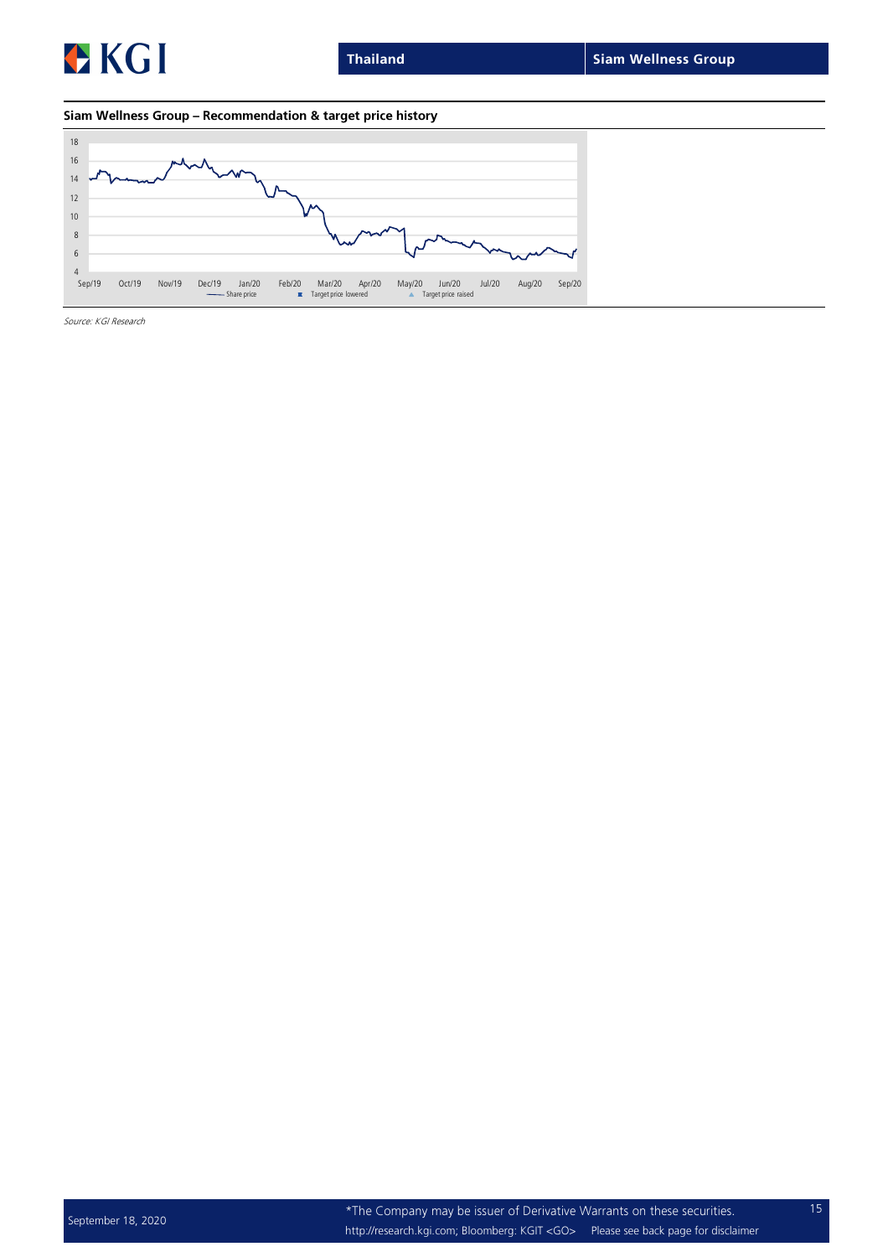

### Siam Wellness Group – Recommendation & target price history

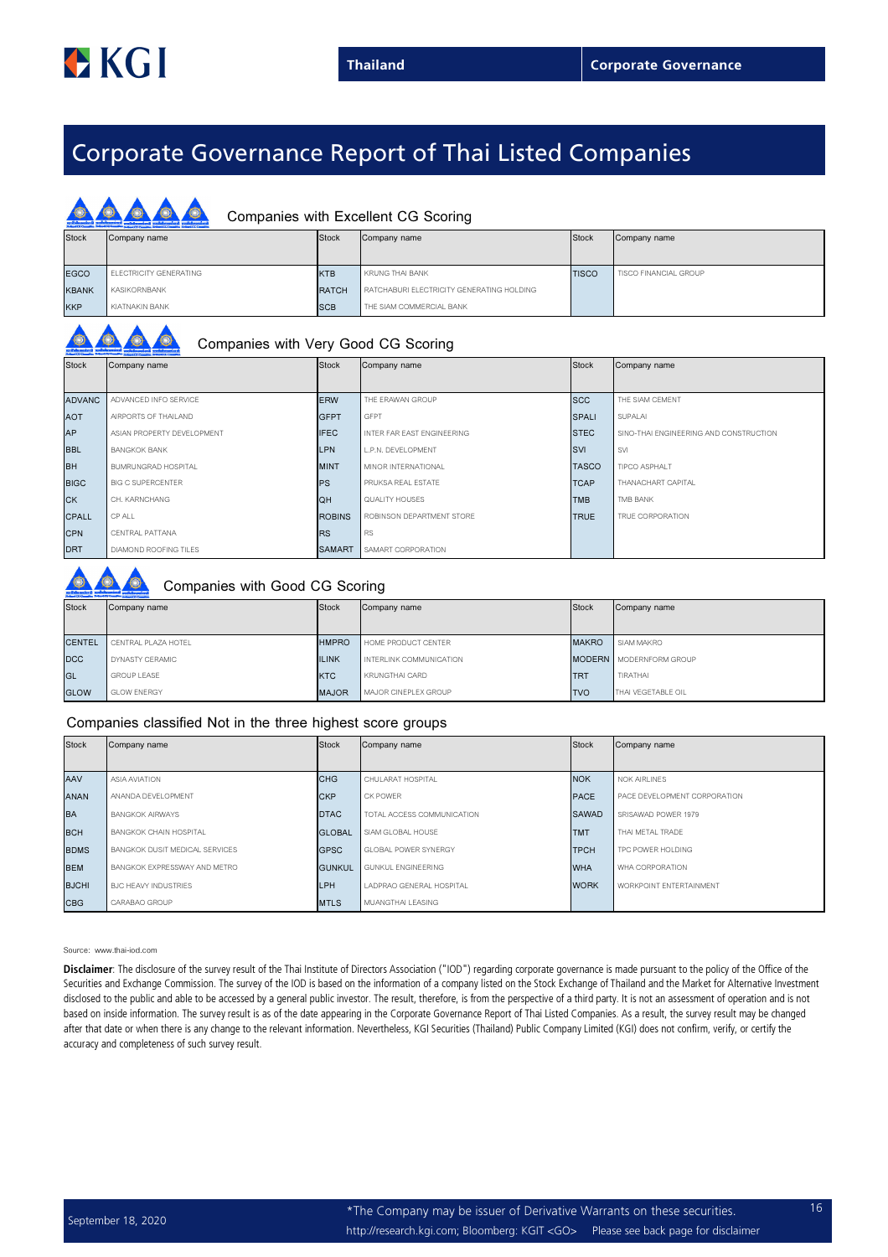## Corporate Governance Report of Thai Listed Companies

|              | Companies with Excellent CG Scoring |              |                                           |              |                       |  |
|--------------|-------------------------------------|--------------|-------------------------------------------|--------------|-----------------------|--|
| <b>Stock</b> | Company name                        | <b>Stock</b> | Company name                              | <b>Stock</b> | Company name          |  |
|              |                                     |              |                                           |              |                       |  |
| <b>EGCO</b>  | ELECTRICITY GENERATING              | <b>KTB</b>   | KRUNG THAI BANK                           | <b>TISCO</b> | TISCO FINANCIAL GROUP |  |
| <b>KBANK</b> | KASIKORNBANK                        | <b>RATCH</b> | RATCHABURI ELECTRICITY GENERATING HOLDING |              |                       |  |
| <b>KKP</b>   | KIATNAKIN BANK                      | <b>SCB</b>   | THE SIAM COMMERCIAL BANK                  |              |                       |  |

| <b>Stock</b> | Company name |  |
|--------------|--------------|--|

## Companies with Very Good CG Scoring

| <b>Stock</b>  | Company name               | Stock         | Company name               | Stock        | Company name                           |
|---------------|----------------------------|---------------|----------------------------|--------------|----------------------------------------|
|               |                            |               |                            |              |                                        |
| <b>ADVANC</b> | ADVANCED INFO SERVICE      | <b>ERW</b>    | THE ERAWAN GROUP           | <b>SCC</b>   | THE SIAM CEMENT                        |
| <b>AOT</b>    | AIRPORTS OF THAILAND       | <b>GFPT</b>   | GFPT                       | <b>SPALI</b> | SUPALAI                                |
| <b>AP</b>     | ASIAN PROPERTY DEVELOPMENT | <b>IFEC</b>   | INTER FAR EAST ENGINEERING | <b>STEC</b>  | SINO-THAI ENGINEERING AND CONSTRUCTION |
| <b>BBL</b>    | <b>BANGKOK BANK</b>        | <b>LPN</b>    | L.P.N. DEVELOPMENT         | <b>SVI</b>   | <b>SVI</b>                             |
| <b>BH</b>     | BUMRUNGRAD HOSPITAL        | <b>MINT</b>   | MINOR INTERNATIONAL        | <b>TASCO</b> | TIPCO ASPHALT                          |
| <b>BIGC</b>   | <b>BIG C SUPERCENTER</b>   | <b>PS</b>     | PRUKSA REAL ESTATE         | <b>TCAP</b>  | THANACHART CAPITAL                     |
| <b>CK</b>     | CH. KARNCHANG              | <b>QH</b>     | QUALITY HOUSES             | <b>TMB</b>   | TMB BANK                               |
| <b>CPALL</b>  | CP ALL                     | <b>ROBINS</b> | ROBINSON DEPARTMENT STORE  | <b>TRUE</b>  | TRUE CORPORATION                       |
| <b>CPN</b>    | CENTRAL PATTANA            | <b>RS</b>     | <b>RS</b>                  |              |                                        |
| <b>DRT</b>    | DIAMOND ROOFING TILES      | <b>SAMART</b> | SAMART CORPORATION         |              |                                        |

## Companies with Good CG Scoring

| <b>Stock</b>  | Company name        | <b>Stock</b> | Company name            | Stock        | Company name                   |  |  |  |
|---------------|---------------------|--------------|-------------------------|--------------|--------------------------------|--|--|--|
| <b>CENTEL</b> | CENTRAL PLAZA HOTEL | <b>HMPRO</b> | HOME PRODUCT CENTER     | <b>MAKRO</b> | SIAM MAKRO                     |  |  |  |
| <b>DCC</b>    | DYNASTY CERAMIC     | <b>ILINK</b> | INTERLINK COMMUNICATION |              | <b>MODERN</b> MODERNFORM GROUP |  |  |  |
| GL            | <b>GROUP LEASE</b>  | <b>KTC</b>   | <b>KRUNGTHAI CARD</b>   | <b>TRT</b>   | TIRATHAI                       |  |  |  |
| <b>GLOW</b>   | <b>GLOW ENERGY</b>  | <b>MAJOR</b> | MAJOR CINEPLEX GROUP    | <b>TVO</b>   | THAI VEGETABLE OIL             |  |  |  |

#### Companies classified Not in the three highest score groups

| <b>Stock</b> | Company name                   | Stock         | Company name                | <b>Stock</b> | Company name                   |
|--------------|--------------------------------|---------------|-----------------------------|--------------|--------------------------------|
|              |                                |               |                             |              |                                |
| AAV          | ASIA AVIATION                  | <b>CHG</b>    | CHULARAT HOSPITAL           | <b>NOK</b>   | <b>NOK AIRLINES</b>            |
| <b>ANAN</b>  | ANANDA DEVELOPMENT             | <b>CKP</b>    | CK POWER                    | <b>PACE</b>  | PACE DEVELOPMENT CORPORATION   |
| <b>BA</b>    | <b>BANGKOK AIRWAYS</b>         | <b>DTAC</b>   | TOTAL ACCESS COMMUNICATION  | <b>SAWAD</b> | SRISAWAD POWER 1979            |
| <b>BCH</b>   | <b>BANGKOK CHAIN HOSPITAL</b>  | <b>GLOBAL</b> | SIAM GLOBAL HOUSE           | <b>TMT</b>   | THAI METAL TRADE               |
| <b>BDMS</b>  | BANGKOK DUSIT MEDICAL SERVICES | <b>GPSC</b>   | <b>GLOBAL POWER SYNERGY</b> | <b>TPCH</b>  | TPC POWER HOLDING              |
| <b>BEM</b>   | BANGKOK EXPRESSWAY AND METRO   | <b>GUNKUL</b> | GUNKUL ENGINEERING          | <b>WHA</b>   | WHA CORPORATION                |
| <b>BJCHI</b> | BJC HEAVY INDUSTRIES           | LPH           | LADPRAO GENERAL HOSPITAL    | <b>WORK</b>  | <b>WORKPOINT ENTERTAINMENT</b> |
| <b>CBG</b>   | CARABAO GROUP                  | <b>MTLS</b>   | MUANGTHAI LEASING           |              |                                |

#### Source: www.thai-iod.com

Disclaimer: The disclosure of the survey result of the Thai Institute of Directors Association ("IOD") regarding corporate governance is made pursuant to the policy of the Office of the Securities and Exchange Commission. The survey of the IOD is based on the information of a company listed on the Stock Exchange of Thailand and the Market for Alternative Investment disclosed to the public and able to be accessed by a general public investor. The result, therefore, is from the perspective of a third party. It is not an assessment of operation and is not based on inside information. The survey result is as of the date appearing in the Corporate Governance Report of Thai Listed Companies. As a result, the survey result may be changed after that date or when there is any change to the relevant information. Nevertheless, KGI Securities (Thailand) Public Company Limited (KGI) does not confirm, verify, or certify the accuracy and completeness of such survey result.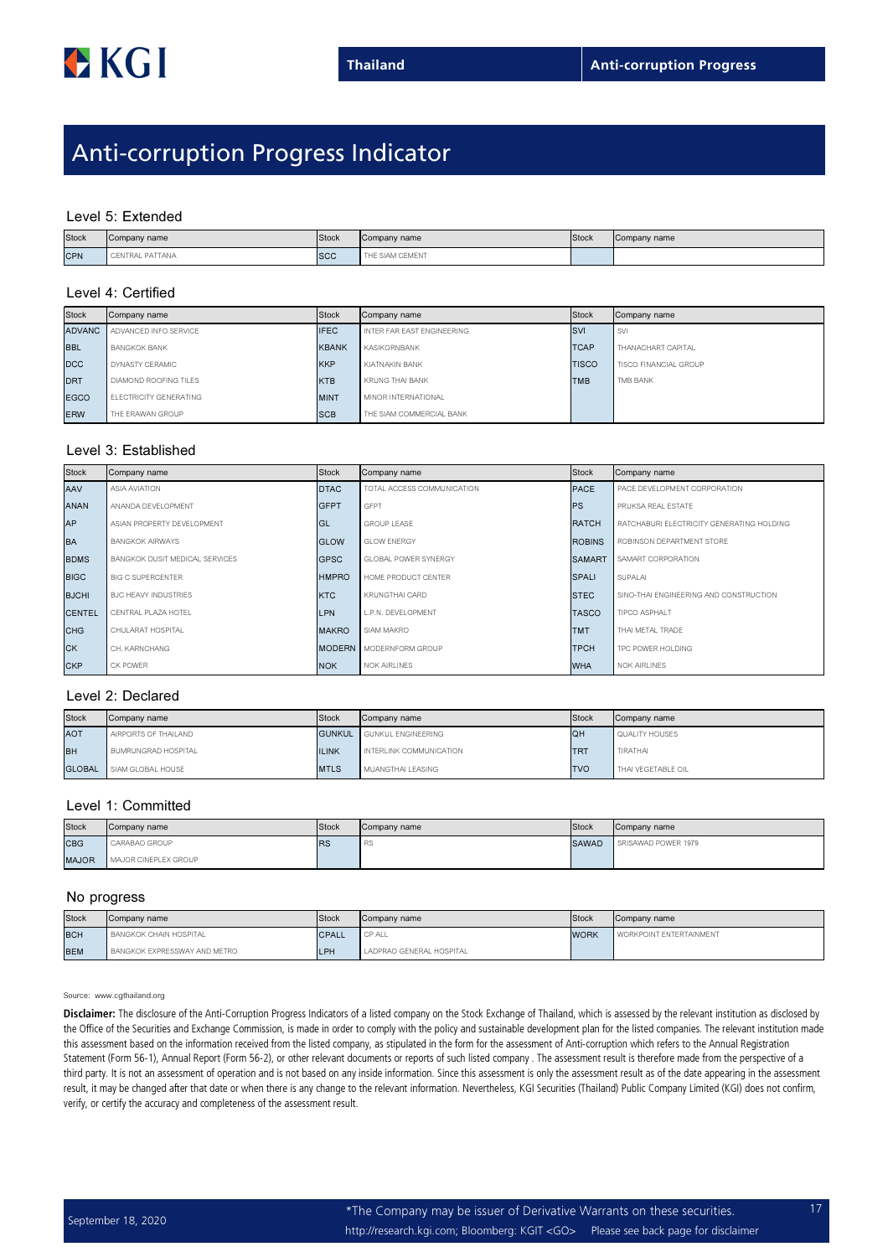## Anti-corruption Progress Indicator

#### Level 5: Extended

| <b>Stock</b> | Company name    | Stock      | Company name    | Stock | Company name |
|--------------|-----------------|------------|-----------------|-------|--------------|
| <b>CPN</b>   | CENTRAL PATTANA | <b>SCC</b> | THE SIAM CEMENT |       |              |

### Level 4: Certified

| <b>Stock</b>  | Company name                        | Stock       | Company name               | Stock        | Company name          |
|---------------|-------------------------------------|-------------|----------------------------|--------------|-----------------------|
| <b>ADVANC</b> | ADVANCED INFO SERVICE               | <b>IFEC</b> | INTER FAR EAST ENGINEERING | <b>SVI</b>   | <b>SVI</b>            |
| <b>BBL</b>    | <b>BANGKOK BANK</b>                 |             | KASIKORNBANK               | <b>TCAP</b>  | THANACHART CAPITAL    |
| <b>DCC</b>    | DYNASTY CERAMIC                     | <b>KKP</b>  | KIATNAKIN BANK             | <b>TISCO</b> | TISCO FINANCIAL GROUP |
| <b>DRT</b>    | DIAMOND ROOFING TILES<br><b>KTB</b> |             | KRUNG THAI BANK            | <b>TMB</b>   | TMB BANK              |
| <b>EGCO</b>   | ELECTRICITY GENERATING              | <b>MINT</b> | MINOR INTERNATIONAL        |              |                       |
| <b>ERW</b>    | THE ERAWAN GROUP                    | <b>SCB</b>  | THE SIAM COMMERCIAL BANK   |              |                       |

#### Level 3: Established

| <b>Stock</b>  | Company name                   | Stock        | Company name                   | Stock         | Company name                              |
|---------------|--------------------------------|--------------|--------------------------------|---------------|-------------------------------------------|
| AAV           | ASIA AVIATION                  | <b>DTAC</b>  | TOTAL ACCESS COMMUNICATION     | <b>PACE</b>   | PACE DEVELOPMENT CORPORATION              |
| <b>ANAN</b>   | ANANDA DEVELOPMENT             | <b>GFPT</b>  | <b>GFPT</b>                    | <b>IPS</b>    | PRUKSA REAL ESTATE                        |
| AP            | ASIAN PROPERTY DEVELOPMENT     | GL           | <b>GROUP LEASE</b>             | <b>RATCH</b>  | RATCHABURI ELECTRICITY GENERATING HOLDING |
| <b>BA</b>     | <b>BANGKOK AIRWAYS</b>         | <b>GLOW</b>  | <b>GLOW ENERGY</b>             | <b>ROBINS</b> | ROBINSON DEPARTMENT STORE                 |
| <b>BDMS</b>   | BANGKOK DUSIT MEDICAL SERVICES | <b>GPSC</b>  | <b>GLOBAL POWER SYNERGY</b>    | <b>SAMART</b> | SAMART CORPORATION                        |
| <b>BIGC</b>   | <b>BIG C SUPERCENTER</b>       | <b>HMPRO</b> | HOME PRODUCT CENTER            | <b>SPALI</b>  | SUPALAI                                   |
| <b>BJCHI</b>  | <b>BJC HEAVY INDUSTRIES</b>    | <b>KTC</b>   | KRUNGTHAI CARD                 | <b>STEC</b>   | SINO-THAI ENGINEERING AND CONSTRUCTION    |
| <b>CENTEL</b> | CENTRAL PLAZA HOTEL            | <b>LPN</b>   | L.P.N. DEVELOPMENT             | <b>TASCO</b>  | TIPCO ASPHALT                             |
| <b>CHG</b>    | CHULARAT HOSPITAL              | <b>MAKRO</b> | SIAM MAKRO                     | <b>TMT</b>    | THAI METAL TRADE                          |
| <b>CK</b>     | CH. KARNCHANG                  |              | <b>MODERN</b> MODERNFORM GROUP | <b>TPCH</b>   | TPC POWER HOLDING                         |
| <b>CKP</b>    | CK POWER                       | <b>NOK</b>   | <b>NOK AIRLINES</b>            | <b>WHA</b>    | <b>NOK AIRLINES</b>                       |

#### Level 2: Declared

| Stock         | Stock<br>Company name |              | Company name                     | <b>Stock</b>    | Company name       |
|---------------|-----------------------|--------------|----------------------------------|-----------------|--------------------|
| <b>AOT</b>    | AIRPORTS OF THAILAND  |              | <b>GUNKUL</b> GUNKUL ENGINEERING | QH              | QUALITY HOUSES     |
| <b>BH</b>     | BUMRUNGRAD HOSPITAL   | <b>ILINK</b> | INTERLINK COMMUNICATION          | TR <sup>-</sup> | TIRATHAI           |
| <b>GLOBAL</b> | SIAM GLOBAL HOUSE     | <b>MTLS</b>  | MUANGTHAI LEASING                | <b>TVO</b>      | THAI VEGETABLE OIL |

#### Level 1: Committed

| <b>Stock</b> | <b>Stock</b><br>Company name |           | Company name | <b>Stock</b> | Company name        |
|--------------|------------------------------|-----------|--------------|--------------|---------------------|
| <b>CBG</b>   | CARABAO GROUP                | <b>RS</b> | - 75         | <b>SAWAD</b> | SRISAWAD POWER 1979 |
| <b>MAJOR</b> | MAJOR CINEPLEX GROUP         |           |              |              |                     |

#### No progress

| <b>Stock</b> | Company name                               |              | Company name             | <b>Stock</b> | Company name            |
|--------------|--------------------------------------------|--------------|--------------------------|--------------|-------------------------|
| <b>BCH</b>   | <b>BANGKOK CHAIN HOSPITAL</b>              | <b>CPALL</b> | CP ALL                   | <b>WORK</b>  | WORKPOINT ENTERTAINMENT |
| <b>BEM</b>   | <b>LPH</b><br>BANGKOK EXPRESSWAY AND METRO |              | LADPRAO GENERAL HOSPITAL |              |                         |

Source: www.cgthailand.org

Disclaimer: The disclosure of the Anti-Corruption Progress Indicators of a listed company on the Stock Exchange of Thailand, which is assessed by the relevant institution as disclosed by the Office of the Securities and Exchange Commission, is made in order to comply with the policy and sustainable development plan for the listed companies. The relevant institution made this assessment based on the information received from the listed company, as stipulated in the form for the assessment of Anti-corruption which refers to the Annual Registration Statement (Form 56-1), Annual Report (Form 56-2), or other relevant documents or reports of such listed company . The assessment result is therefore made from the perspective of a third party. It is not an assessment of operation and is not based on any inside information. Since this assessment is only the assessment result as of the date appearing in the assessment result, it may be changed after that date or when there is any change to the relevant information. Nevertheless, KGI Securities (Thailand) Public Company Limited (KGI) does not confirm, verify, or certify the accuracy and completeness of the assessment result.